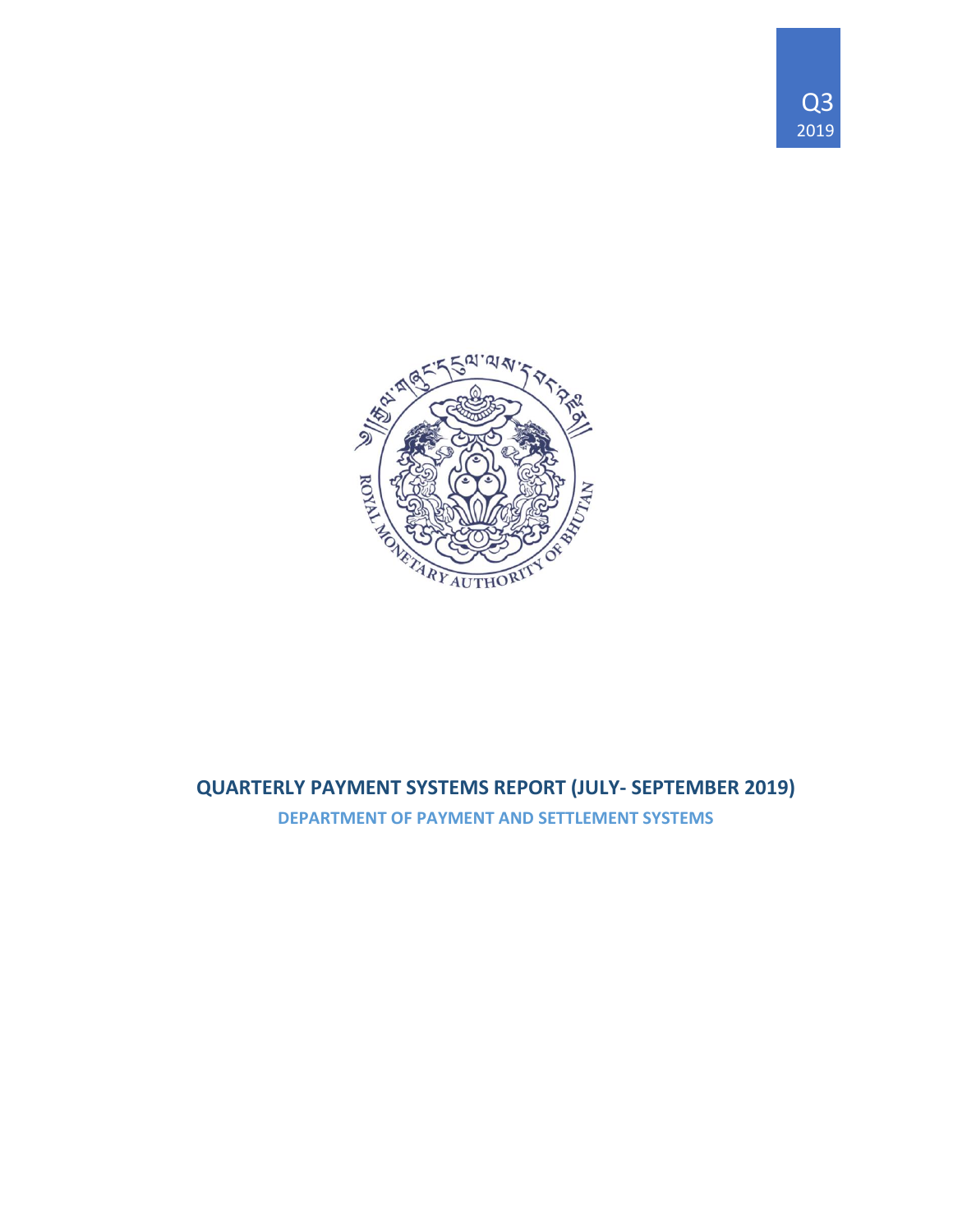



# **QUARTERLY PAYMENT SYSTEMS REPORT (JULY- SEPTEMBER 2019)**

**DEPARTMENT OF PAYMENT AND SETTLEMENT SYSTEMS**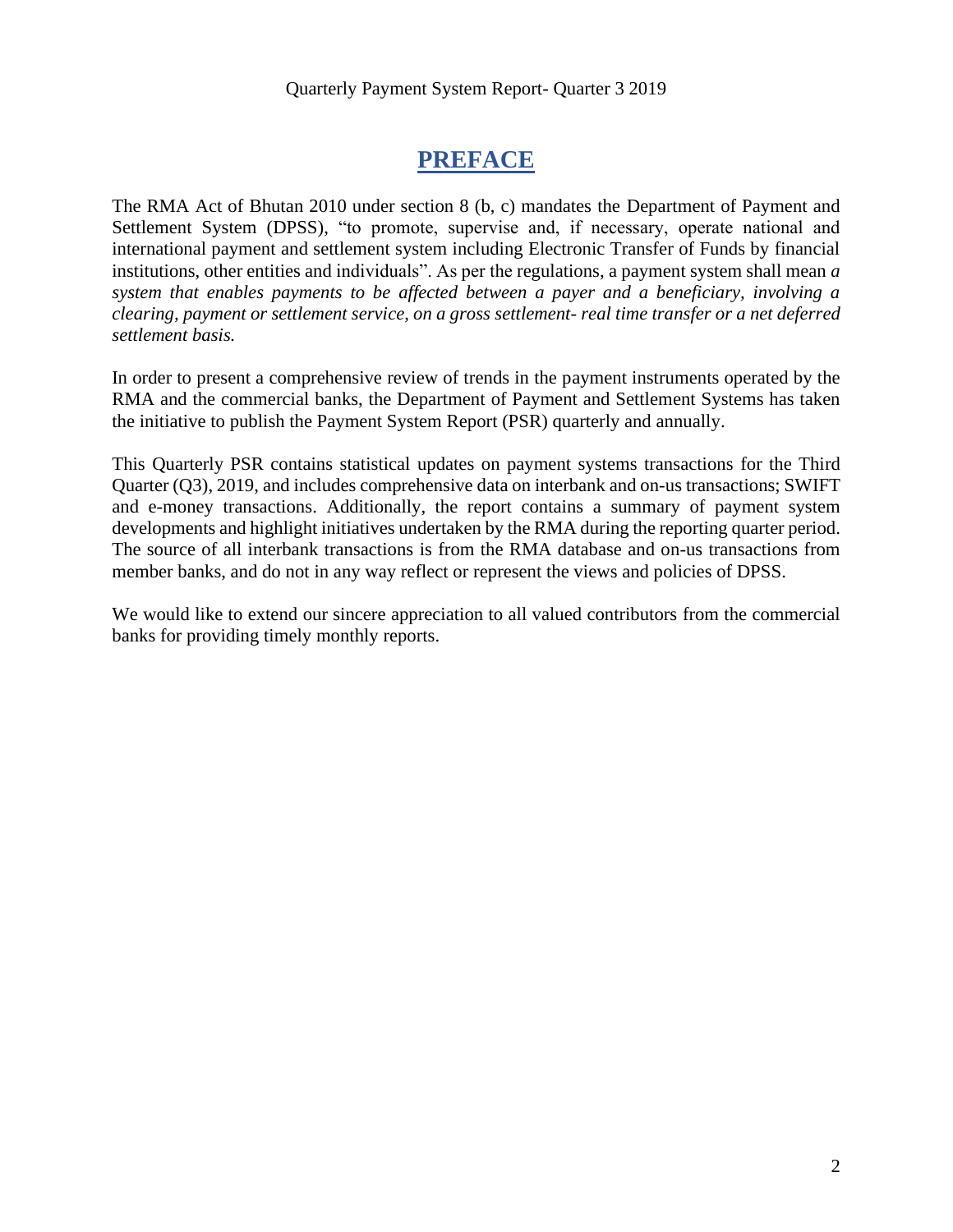# **PREFACE**

The RMA Act of Bhutan 2010 under section 8 (b, c) mandates the Department of Payment and Settlement System (DPSS), "to promote, supervise and, if necessary, operate national and international payment and settlement system including Electronic Transfer of Funds by financial institutions, other entities and individuals". As per the regulations, a payment system shall mean *a system that enables payments to be affected between a payer and a beneficiary, involving a clearing, payment or settlement service, on a gross settlement- real time transfer or a net deferred settlement basis.*

In order to present a comprehensive review of trends in the payment instruments operated by the RMA and the commercial banks, the Department of Payment and Settlement Systems has taken the initiative to publish the Payment System Report (PSR) quarterly and annually.

This Quarterly PSR contains statistical updates on payment systems transactions for the Third Quarter (Q3), 2019, and includes comprehensive data on interbank and on-us transactions; SWIFT and e-money transactions. Additionally, the report contains a summary of payment system developments and highlight initiatives undertaken by the RMA during the reporting quarter period. The source of all interbank transactions is from the RMA database and on-us transactions from member banks, and do not in any way reflect or represent the views and policies of DPSS.

We would like to extend our sincere appreciation to all valued contributors from the commercial banks for providing timely monthly reports.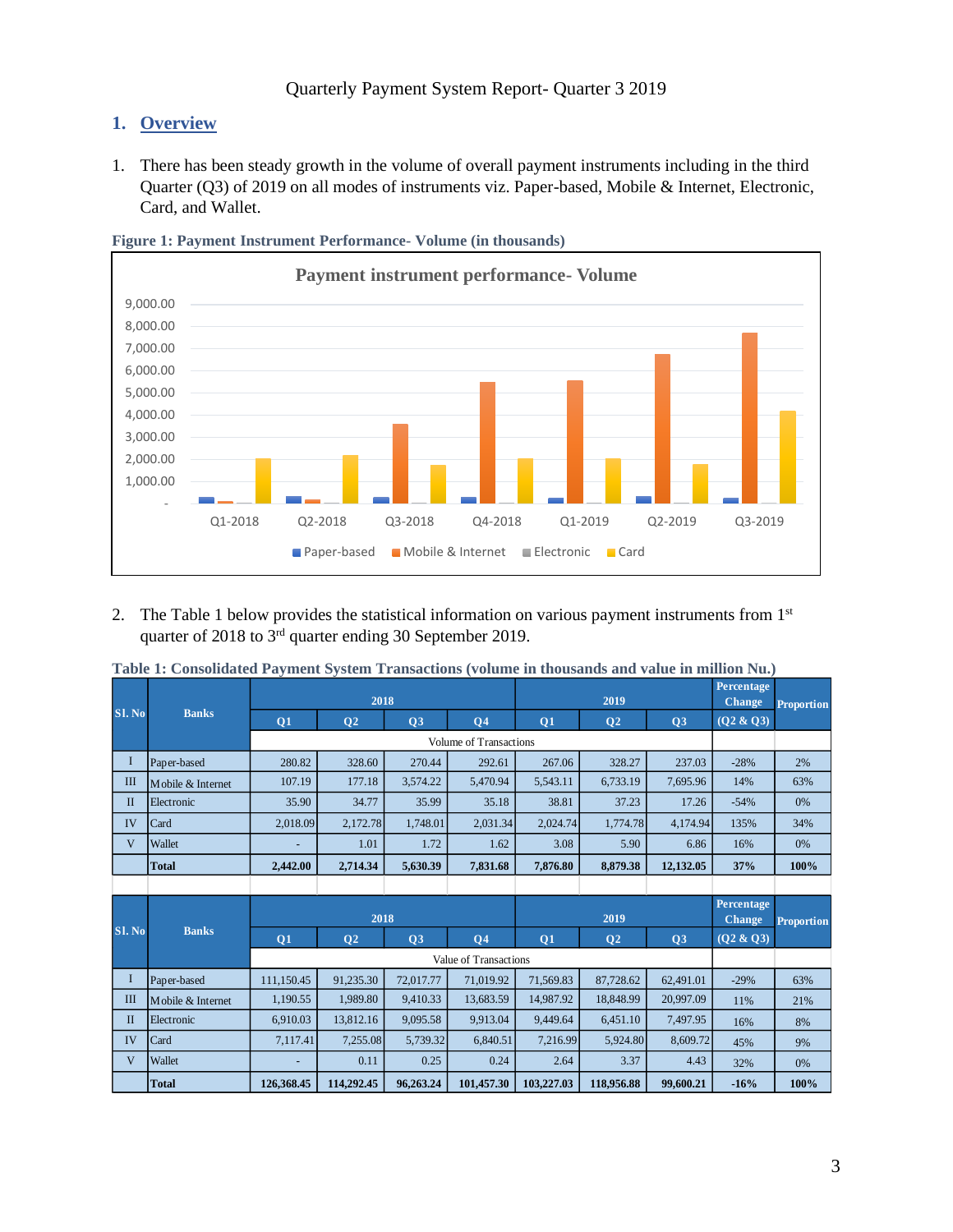### **1. Overview**

1. There has been steady growth in the volume of overall payment instruments including in the third Quarter (Q3) of 2019 on all modes of instruments viz. Paper-based, Mobile & Internet, Electronic, Card, and Wallet.



**Figure 1: Payment Instrument Performance- Volume (in thousands)**

2. The Table 1 below provides the statistical information on various payment instruments from 1<sup>st</sup> quarter of 2018 to 3rd quarter ending 30 September 2019.

|              |                   |            | 2018           |           |                        |           | 2019           |           | Percentage<br><b>Change</b> | <b>Proportion</b> |
|--------------|-------------------|------------|----------------|-----------|------------------------|-----------|----------------|-----------|-----------------------------|-------------------|
| SI. No       | <b>Banks</b>      | Q1         | Q <sub>2</sub> | Q3        | Q <sub>4</sub>         | Q1        | Q <sub>2</sub> | Q3        | (Q2 & Q3)                   |                   |
|              |                   |            |                |           | Volume of Transactions |           |                |           |                             |                   |
| $\bf{I}$     | Paper-based       | 280.82     | 328.60         | 270.44    | 292.61                 | 267.06    | 328.27         | 237.03    | $-28%$                      | 2%                |
| $\mathbf{I}$ | Mobile & Internet | 107.19     | 177.18         | 3,574.22  | 5,470.94               | 5,543.11  | 6,733.19       | 7,695.96  | 14%                         | 63%               |
| $\mathbf{I}$ | Electronic        | 35.90      | 34.77          | 35.99     | 35.18                  | 38.81     | 37.23          | 17.26     | $-54%$                      | 0%                |
| IV           | Card              | 2,018.09   | 2,172.78       | 1,748.01  | 2,031.34               | 2,024.74  | 1,774.78       | 4,174.94  | 135%                        | 34%               |
| V            | Wallet            |            | 1.01           | 1.72      | 1.62                   | 3.08      | 5.90           | 6.86      | 16%                         | 0%                |
|              | <b>Total</b>      | 2,442.00   | 2,714.34       | 5,630.39  | 7,831.68               | 7,876.80  | 8,879.38       | 12,132.05 | 37%                         | 100%              |
|              |                   |            |                |           |                        |           |                |           |                             |                   |
|              |                   |            |                |           |                        |           |                |           |                             |                   |
|              |                   |            | 2018           |           |                        |           | 2019           |           | Percentage<br><b>Change</b> | <b>Proportion</b> |
| SI. No       | <b>Banks</b>      | Q1         | Q <sub>2</sub> | Q3        | <b>Q4</b>              | Q1        | Q <sub>2</sub> | Q3        | $(Q2 \& Q3)$                |                   |
|              |                   |            |                |           | Value of Transactions  |           |                |           |                             |                   |
| $\bf{I}$     | Paper-based       | 111,150.45 | 91,235.30      | 72,017.77 | 71,019.92              | 71,569.83 | 87,728.62      | 62,491.01 | $-29%$                      | 63%               |
| $\mathbf{I}$ | Mobile & Internet | 1,190.55   | 1,989.80       | 9,410.33  | 13,683.59              | 14,987.92 | 18,848.99      | 20,997.09 | 11%                         | 21%               |
| $\mathbf{I}$ | Electronic        | 6,910.03   | 13,812.16      | 9,095.58  | 9,913.04               | 9,449.64  | 6,451.10       | 7,497.95  | 16%                         | 8%                |
| IV           | Card              | 7,117.41   | 7,255.08       | 5,739.32  | 6,840.51               | 7,216.99  | 5,924.80       | 8,609.72  | 45%                         | 9%                |

V |Wallet | - | 0.11 | 0.25 | 0.24 | 2.64 | 3.37 | 4.43 | 32% | 0% **Total 126,368.45 114,292.45 96,263.24 101,457.30 103,227.03 118,956.88 99,600.21 -16% 100%**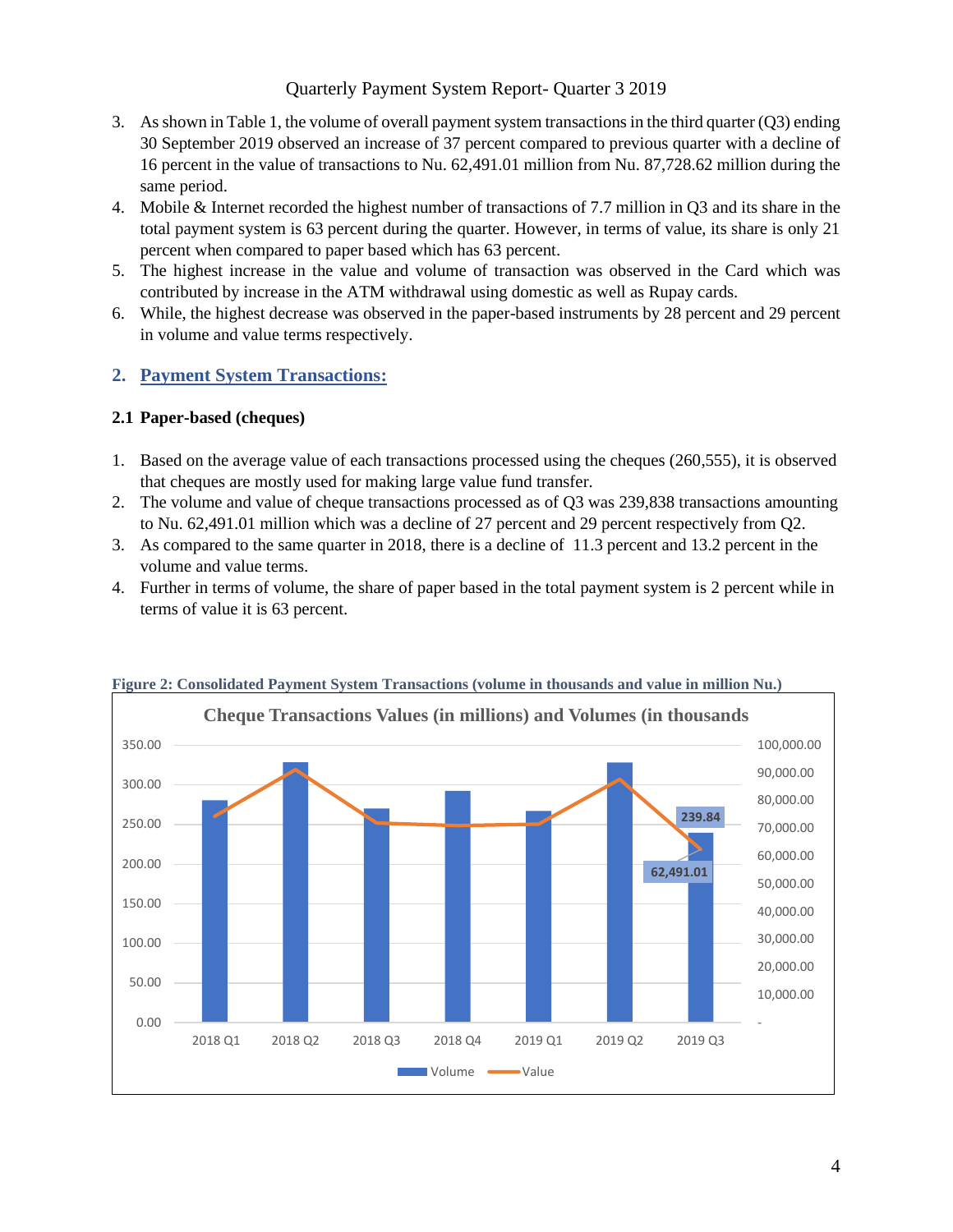#### Quarterly Payment System Report- Quarter 3 2019

- 3. As shown in Table 1, the volume of overall payment system transactions in the third quarter (Q3) ending 30 September 2019 observed an increase of 37 percent compared to previous quarter with a decline of 16 percent in the value of transactions to Nu. 62,491.01 million from Nu. 87,728.62 million during the same period.
- 4. Mobile & Internet recorded the highest number of transactions of 7.7 million in Q3 and its share in the total payment system is 63 percent during the quarter. However, in terms of value, its share is only 21 percent when compared to paper based which has 63 percent.
- 5. The highest increase in the value and volume of transaction was observed in the Card which was contributed by increase in the ATM withdrawal using domestic as well as Rupay cards.
- 6. While, the highest decrease was observed in the paper-based instruments by 28 percent and 29 percent in volume and value terms respectively.

### **2. Payment System Transactions:**

#### **2.1 Paper-based (cheques)**

- 1. Based on the average value of each transactions processed using the cheques (260,555), it is observed that cheques are mostly used for making large value fund transfer.
- 2. The volume and value of cheque transactions processed as of Q3 was 239,838 transactions amounting to Nu. 62,491.01 million which was a decline of 27 percent and 29 percent respectively from Q2.
- 3. As compared to the same quarter in 2018, there is a decline of 11.3 percent and 13.2 percent in the volume and value terms.
- 4. Further in terms of volume, the share of paper based in the total payment system is 2 percent while in terms of value it is 63 percent.



#### **Figure 2: Consolidated Payment System Transactions (volume in thousands and value in million Nu.)**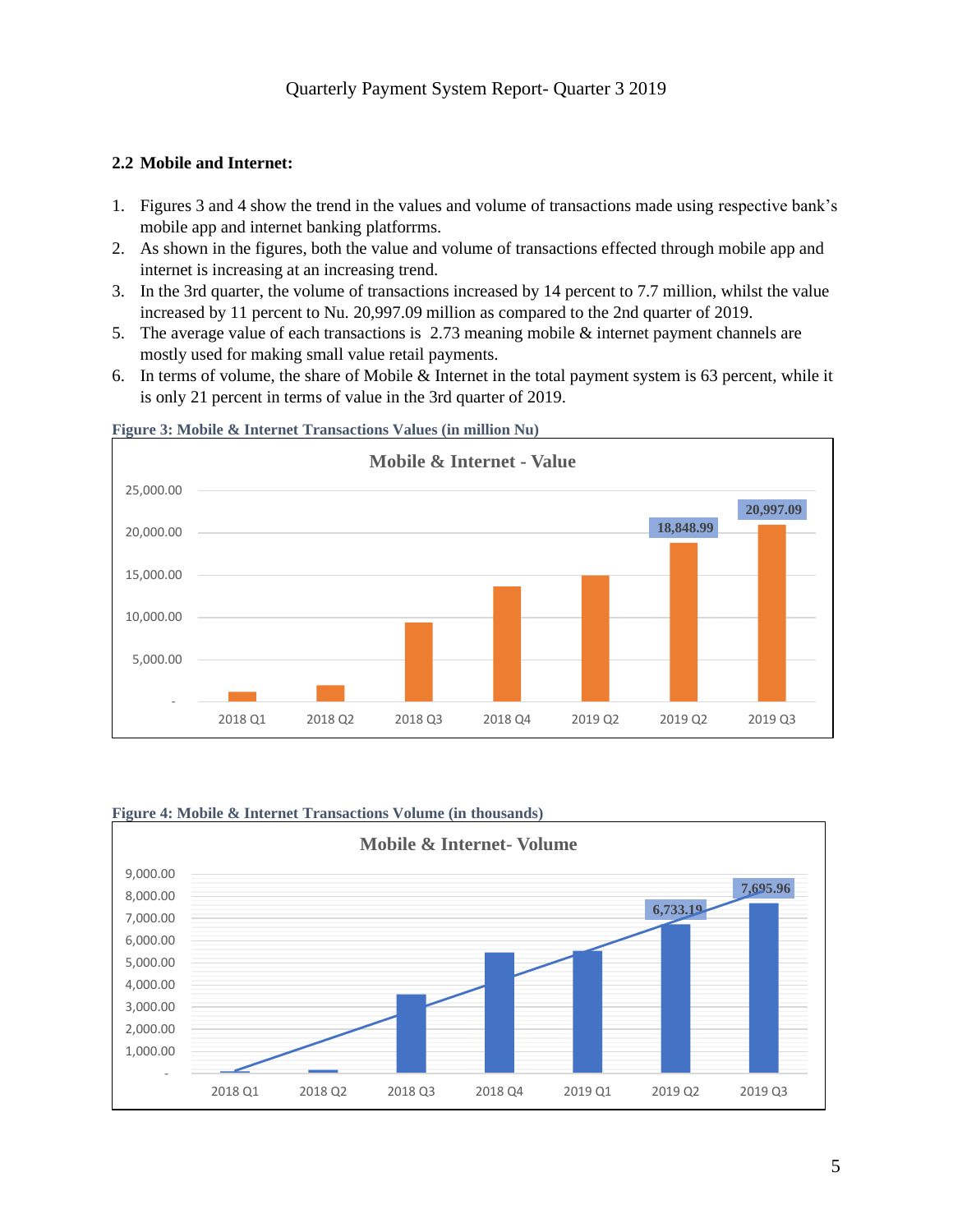#### **2.2 Mobile and Internet:**

- 1. Figures 3 and 4 show the trend in the values and volume of transactions made using respective bank's mobile app and internet banking platforrms.
- 2. As shown in the figures, both the value and volume of transactions effected through mobile app and internet is increasing at an increasing trend.
- 3. In the 3rd quarter, the volume of transactions increased by 14 percent to 7.7 million, whilst the value increased by 11 percent to Nu. 20,997.09 million as compared to the 2nd quarter of 2019.
- 5. The average value of each transactions is 2.73 meaning mobile & internet payment channels are mostly used for making small value retail payments.
- 6. In terms of volume, the share of Mobile & Internet in the total payment system is 63 percent, while it is only 21 percent in terms of value in the 3rd quarter of 2019.



#### **Figure 3: Mobile & Internet Transactions Values (in million Nu)**

#### **Figure 4: Mobile & Internet Transactions Volume (in thousands)**

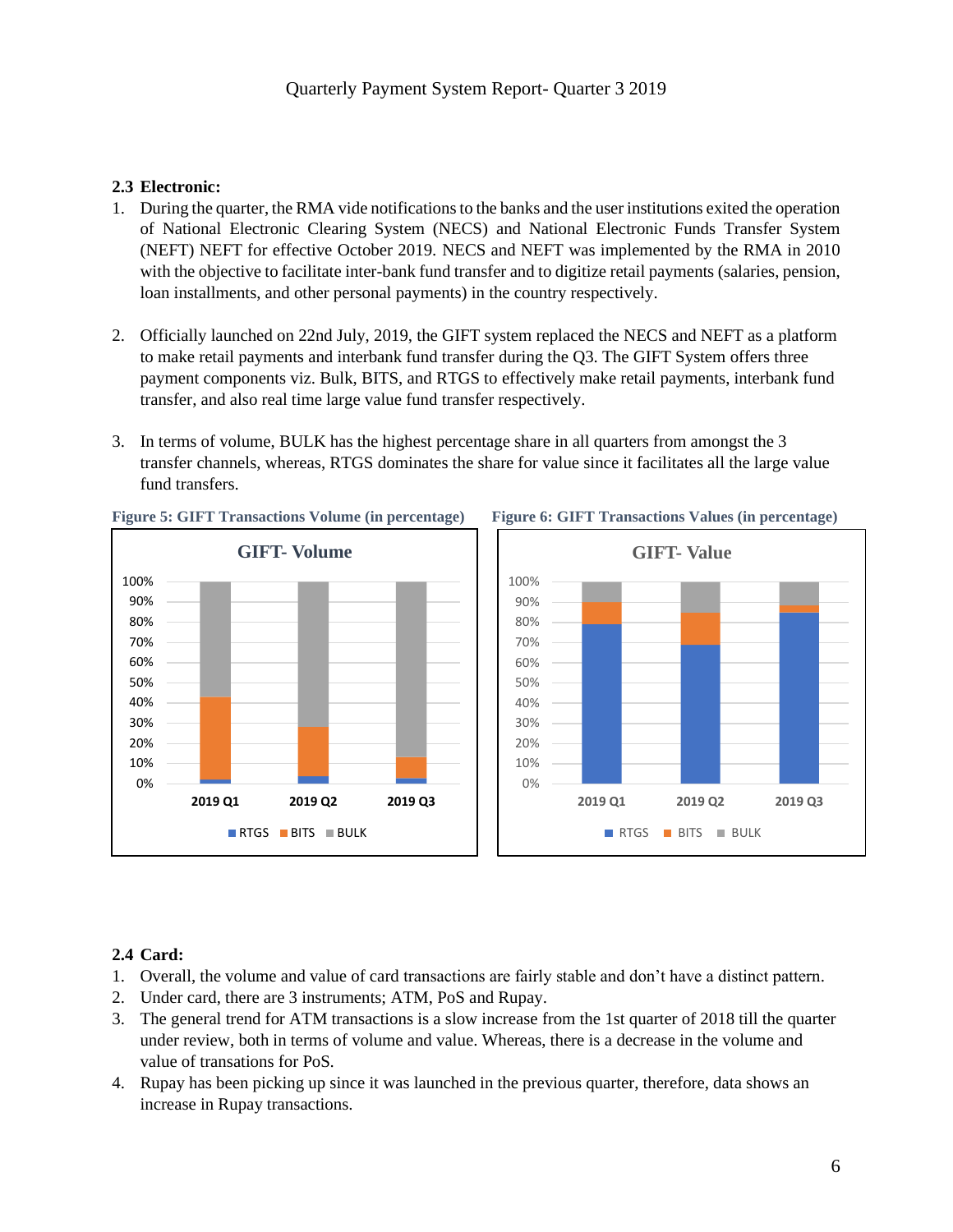#### **2.3 Electronic:**

- 1. During the quarter, the RMA vide notifications to the banks and the user institutions exited the operation of National Electronic Clearing System (NECS) and National Electronic Funds Transfer System (NEFT) NEFT for effective October 2019. NECS and NEFT was implemented by the RMA in 2010 with the objective to facilitate inter-bank fund transfer and to digitize retail payments (salaries, pension, loan installments, and other personal payments) in the country respectively.
- 2. Officially launched on 22nd July, 2019, the GIFT system replaced the NECS and NEFT as a platform to make retail payments and interbank fund transfer during the Q3. The GIFT System offers three payment components viz. Bulk, BITS, and RTGS to effectively make retail payments, interbank fund transfer, and also real time large value fund transfer respectively.
- 3. In terms of volume, BULK has the highest percentage share in all quarters from amongst the 3 transfer channels, whereas, RTGS dominates the share for value since it facilitates all the large value fund transfers.







## **2.4 Card:**

- 1. Overall, the volume and value of card transactions are fairly stable and don't have a distinct pattern.
- 2. Under card, there are 3 instruments; ATM, PoS and Rupay.
- 3. The general trend for ATM transactions is a slow increase from the 1st quarter of 2018 till the quarter under review, both in terms of volume and value. Whereas, there is a decrease in the volume and value of transations for PoS.
- 4. Rupay has been picking up since it was launched in the previous quarter, therefore, data shows an increase in Rupay transactions.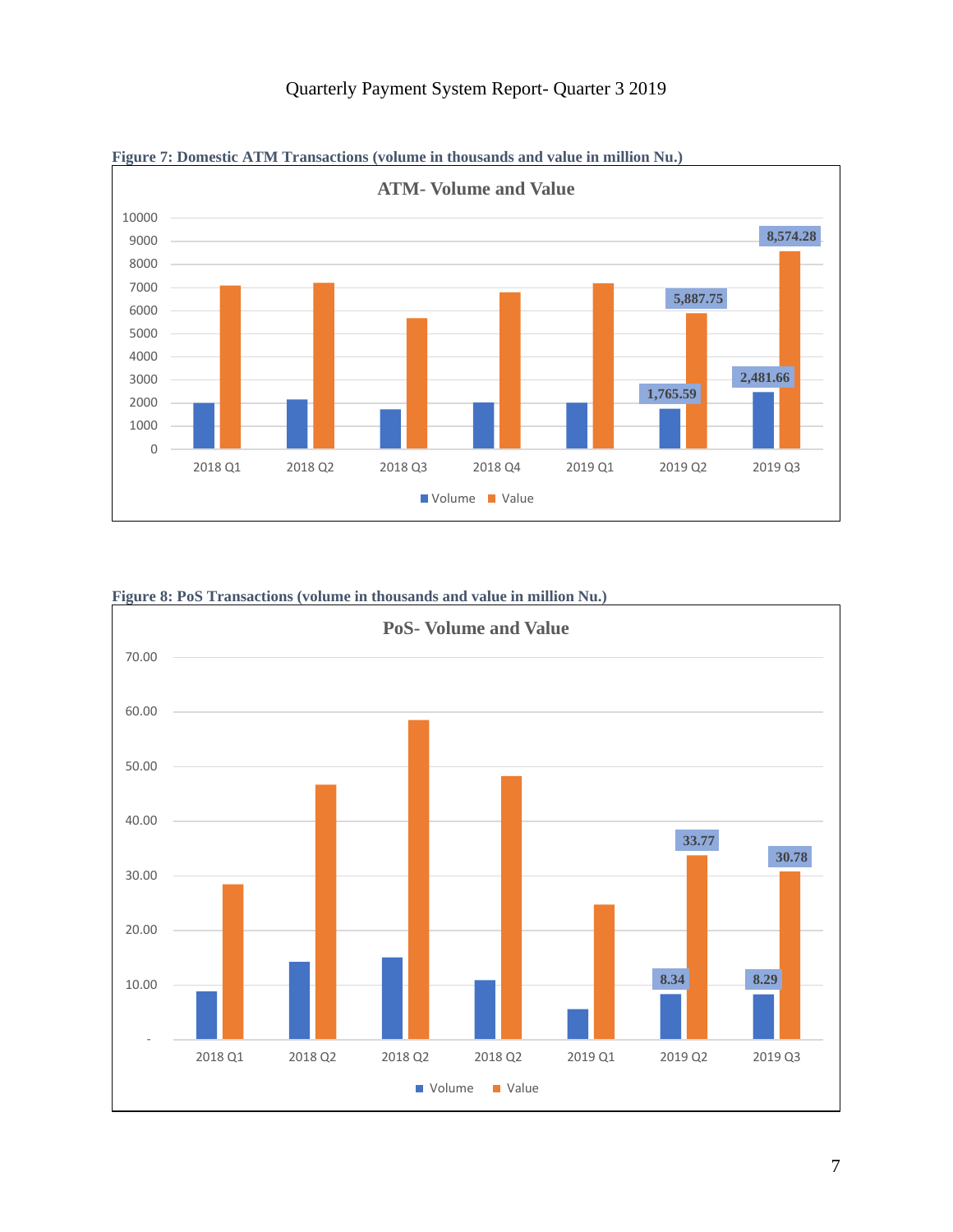

## Quarterly Payment System Report- Quarter 3 2019



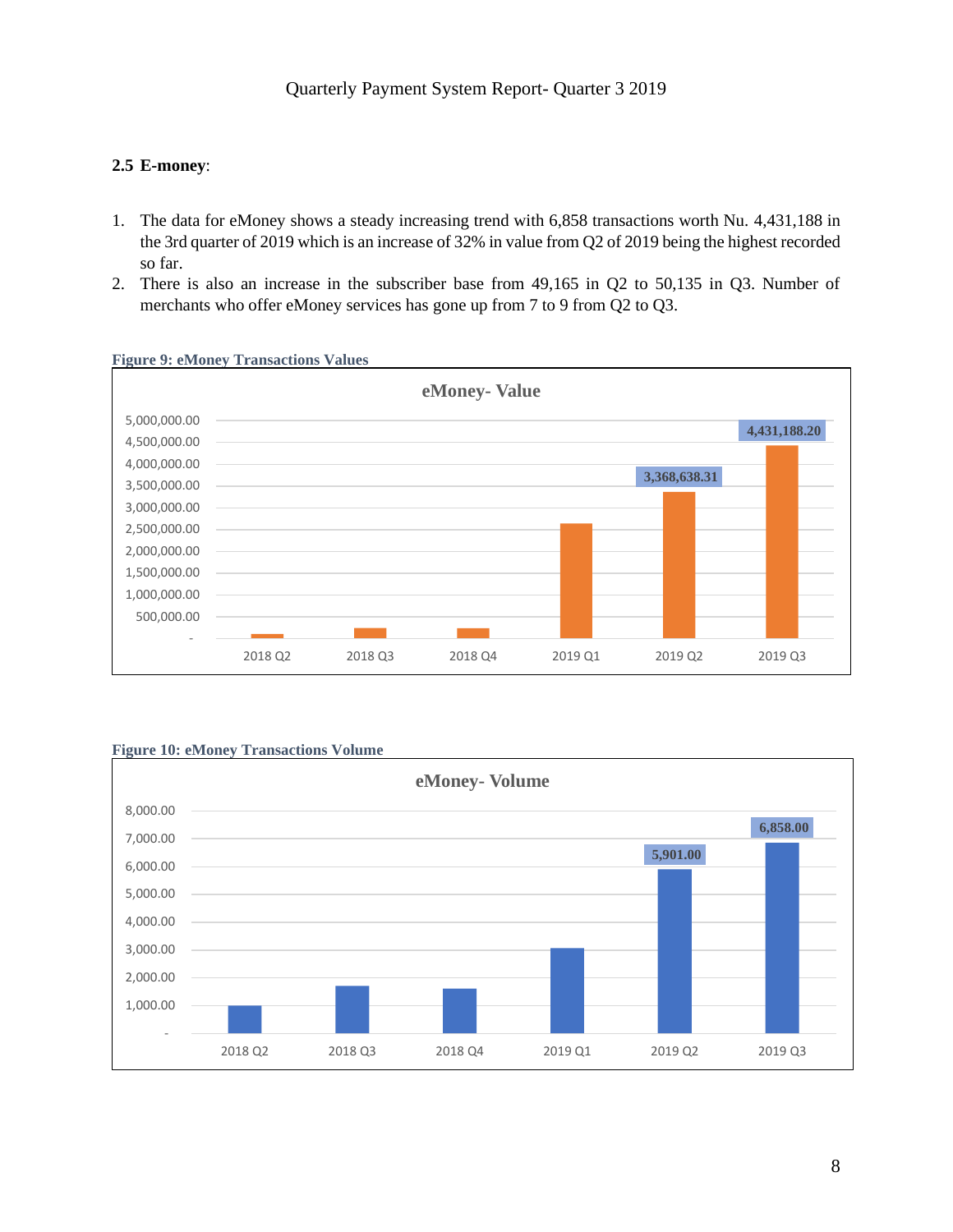#### **2.5 E-money**:

- 1. The data for eMoney shows a steady increasing trend with 6,858 transactions worth Nu. 4,431,188 in the 3rd quarter of 2019 which is an increase of 32% in value from Q2 of 2019 being the highest recorded so far.
- 2. There is also an increase in the subscriber base from 49,165 in Q2 to 50,135 in Q3. Number of merchants who offer eMoney services has gone up from 7 to 9 from Q2 to Q3.



#### **Figure 9: eMoney Transactions Values**



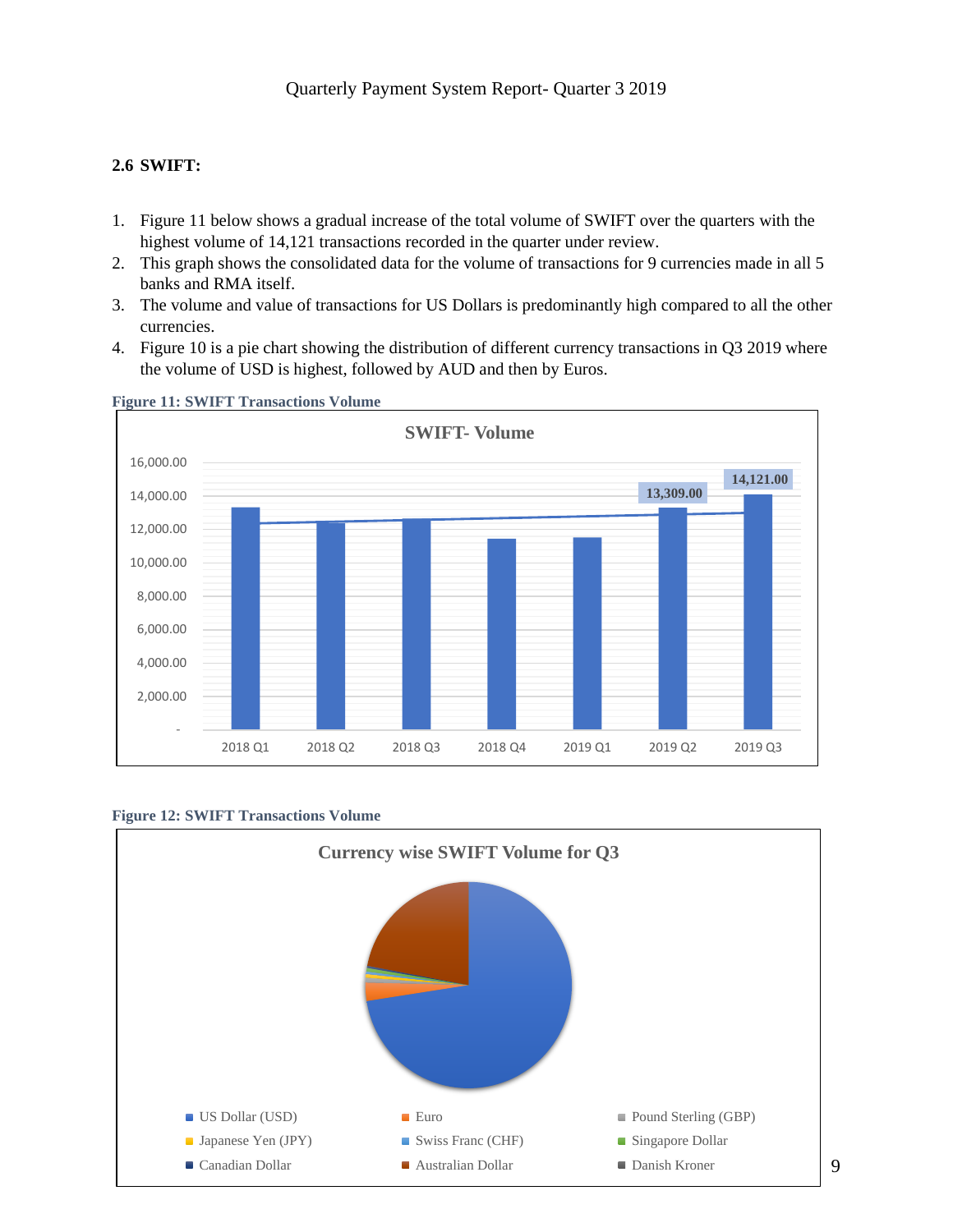### **2.6 SWIFT:**

- 1. Figure 11 below shows a gradual increase of the total volume of SWIFT over the quarters with the highest volume of 14,121 transactions recorded in the quarter under review.
- 2. This graph shows the consolidated data for the volume of transactions for 9 currencies made in all 5 banks and RMA itself.
- 3. The volume and value of transactions for US Dollars is predominantly high compared to all the other currencies.
- 4. Figure 10 is a pie chart showing the distribution of different currency transactions in Q3 2019 where the volume of USD is highest, followed by AUD and then by Euros.



#### **Figure 11: SWIFT Transactions Volume**



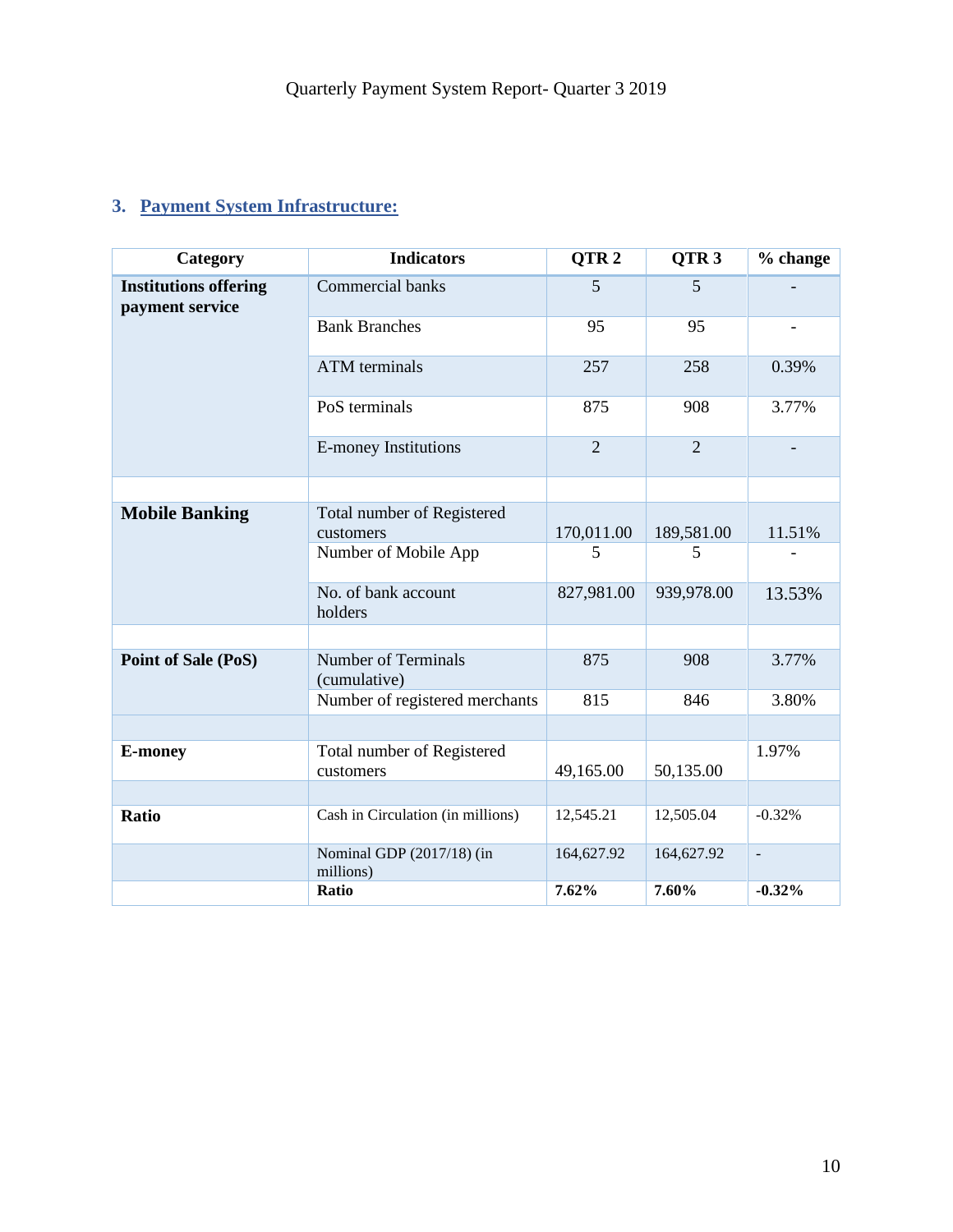# **3. Payment System Infrastructure:**

| Category                                        | <b>Indicators</b>                          | QTR <sub>2</sub> | QTR <sub>3</sub> | % change                 |
|-------------------------------------------------|--------------------------------------------|------------------|------------------|--------------------------|
| <b>Institutions offering</b><br>payment service | Commercial banks                           | 5                | 5                |                          |
|                                                 | <b>Bank Branches</b>                       | 95               | 95               |                          |
|                                                 | <b>ATM</b> terminals                       | 257              | 258              | 0.39%                    |
|                                                 | PoS terminals                              | 875              | 908              | 3.77%                    |
|                                                 | <b>E-money Institutions</b>                | $\overline{2}$   | $\overline{2}$   |                          |
|                                                 |                                            |                  |                  |                          |
| <b>Mobile Banking</b>                           | Total number of Registered<br>customers    | 170,011.00       | 189,581.00       | 11.51%                   |
|                                                 | Number of Mobile App                       | 5                | 5                |                          |
|                                                 | No. of bank account<br>holders             | 827,981.00       | 939,978.00       | 13.53%                   |
|                                                 |                                            |                  |                  |                          |
| Point of Sale (PoS)                             | <b>Number of Terminals</b><br>(cumulative) | 875              | 908              | 3.77%                    |
|                                                 | Number of registered merchants             | 815              | 846              | 3.80%                    |
|                                                 |                                            |                  |                  |                          |
| <b>E-money</b>                                  | Total number of Registered<br>customers    | 49,165.00        | 50,135.00        | 1.97%                    |
|                                                 |                                            |                  |                  |                          |
| <b>Ratio</b>                                    | Cash in Circulation (in millions)          | 12,545.21        | 12,505.04        | $-0.32%$                 |
|                                                 | Nominal GDP (2017/18) (in<br>millions)     | 164,627.92       | 164,627.92       | $\overline{\phantom{a}}$ |
|                                                 | Ratio                                      | 7.62%            | 7.60%            | $-0.32%$                 |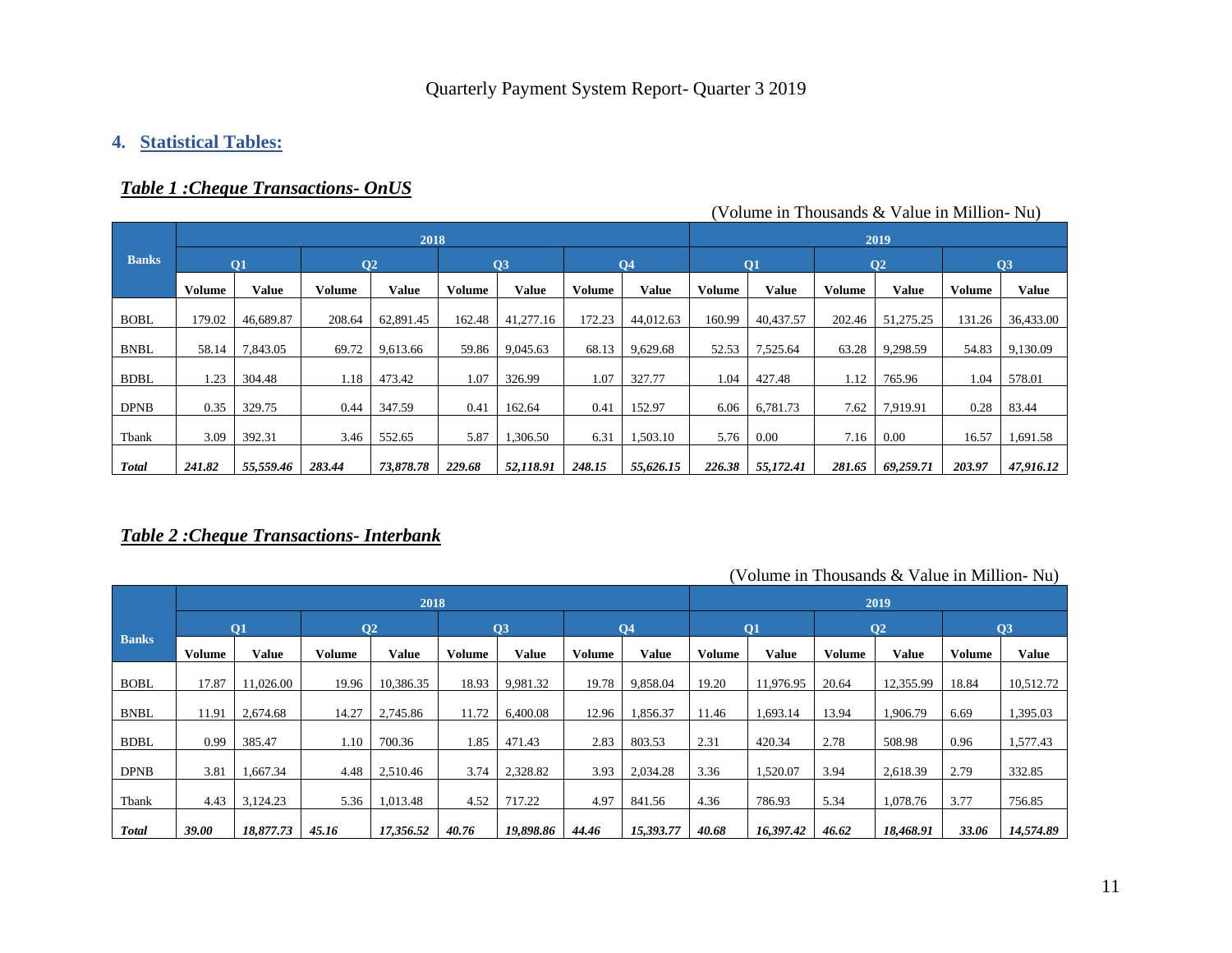## **4. Statistical Tables:**

## *Table 1 :Cheque Transactions- OnUS*

|              |               |              |               | 2018         |               |           |        |           |               |              |               | 2019           |               |                 |
|--------------|---------------|--------------|---------------|--------------|---------------|-----------|--------|-----------|---------------|--------------|---------------|----------------|---------------|-----------------|
| <b>Banks</b> |               | <b>O1</b>    |               | $ 02\rangle$ |               | Q3        |        | <b>O4</b> |               | <b>O1</b>    |               | Q <sub>2</sub> |               | $\overline{O3}$ |
|              | <b>Volume</b> | <b>Value</b> | <b>Volume</b> | <b>Value</b> | <b>Volume</b> | Value     | Volume | Value     | <b>Volume</b> | <b>Value</b> | <b>Volume</b> | Value          | <b>Volume</b> | <b>Value</b>    |
| <b>BOBL</b>  | 179.02        | 46,689.87    | 208.64        | 62,891.45    | 162.48        | 41,277.16 | 172.23 | 44,012.63 | 160.99        | 40,437.57    | 202.46        | 51,275.25      | 131.26        | 36,433.00       |
| <b>BNBL</b>  | 58.14         | 7,843.05     | 69.72         | 9,613.66     | 59.86         | 9,045.63  | 68.13  | 9,629.68  | 52.53         | 7,525.64     | 63.28         | 9,298.59       | 54.83         | 9,130.09        |
| <b>BDBL</b>  | 1.23          | 304.48       | 1.18          | 473.42       | 1.07          | 326.99    | 1.07   | 327.77    | 1.04          | 427.48       | 1.12          | 765.96         | 1.04          | 578.01          |
| <b>DPNB</b>  | 0.35          | 329.75       | 0.44          | 347.59       | 0.41          | 162.64    | 0.41   | 152.97    | 6.06          | 6,781.73     | 7.62          | 7,919.91       | 0.28          | 83.44           |
| Tbank        | 3.09          | 392.31       | 3.46          | 552.65       | 5.87          | 1,306.50  | 6.31   | 1,503.10  | 5.76          | 0.00         | 7.16          | 0.00           | 16.57         | 1,691.58        |
| <b>Total</b> | 241.82        | 55,559.46    | 283.44        | 73,878.78    | 229.68        | 52,118.91 | 248.15 | 55,626.15 | 226.38        | 55,172.41    | 281.65        | 69,259.71      | 203.97        | 47,916.12       |

### (Volume in Thousands & Value in Million- Nu)

### *Table 2 :Cheque Transactions- Interbank*

|              |               |           |               | 2018           |        |              |               |                |               |           |               | 2019           |               |              |
|--------------|---------------|-----------|---------------|----------------|--------|--------------|---------------|----------------|---------------|-----------|---------------|----------------|---------------|--------------|
|              |               | <b>O1</b> |               | Q <sub>2</sub> |        | Q3           |               | Q <sub>4</sub> |               | Q1        |               | Q <sub>2</sub> |               | Q3           |
| <b>Banks</b> | <b>Volume</b> | Value     | <b>Volume</b> | <b>Value</b>   | Volume | <b>Value</b> | <b>Volume</b> | <b>Value</b>   | <b>Volume</b> | Value     | <b>Volume</b> | <b>Value</b>   | <b>Volume</b> | <b>Value</b> |
| <b>BOBL</b>  | 17.87         | 11,026.00 | 19.96         | 10,386.35      | 18.93  | 9,981.32     | 19.78         | 9,858.04       | 19.20         | 11,976.95 | 20.64         | 12,355.99      | 18.84         | 10,512.72    |
| <b>BNBL</b>  | 11.91         | 2.674.68  | 14.27         | 2,745.86       | 11.72  | 6,400.08     | 12.96         | 1,856.37       | 11.46         | 1,693.14  | 13.94         | 1,906.79       | 6.69          | 1,395.03     |
|              |               |           |               |                |        |              |               |                |               |           |               |                |               |              |
| <b>BDBL</b>  | 0.99          | 385.47    | 1.10          | 700.36         | 1.85   | 471.43       | 2.83          | 803.53         | 2.31          | 420.34    | 2.78          | 508.98         | 0.96          | 1,577.43     |
| <b>DPNB</b>  | 3.81          | 1,667.34  | 4.48          | 2,510.46       | 3.74   | 2,328.82     | 3.93          | 2,034.28       | 3.36          | 1,520.07  | 3.94          | 2,618.39       | 2.79          | 332.85       |
| Tbank        | 4.43          | 3,124.23  | 5.36          | 1,013.48       | 4.52   | 717.22       | 4.97          | 841.56         | 4.36          | 786.93    | 5.34          | 1,078.76       | 3.77          | 756.85       |
| <b>Total</b> | 39.00         | 18,877.73 | 45.16         | 17,356.52      | 40.76  | 19,898.86    | 44.46         | 15,393.77      | 40.68         | 16,397.42 | 46.62         | 18,468.91      | 33.06         | 14,574.89    |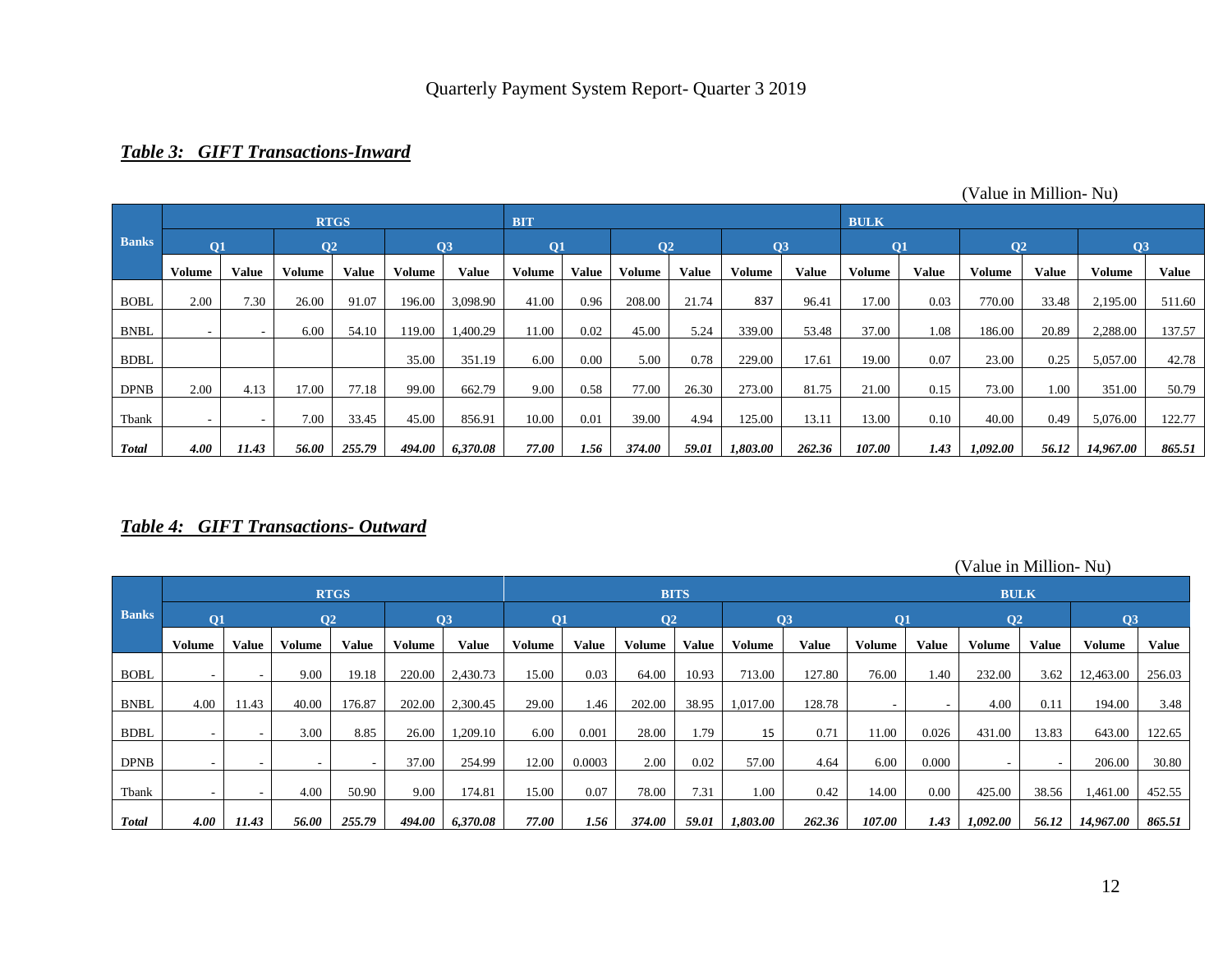### *Table 3: GIFT Transactions-Inward*

|              |                          |                          |               | <b>RTGS</b>  |        |          | <b>BIT</b>    |              |                |       |               |        | <b>BULK</b> |       |                |       |           |              |
|--------------|--------------------------|--------------------------|---------------|--------------|--------|----------|---------------|--------------|----------------|-------|---------------|--------|-------------|-------|----------------|-------|-----------|--------------|
| <b>Banks</b> | Q1                       |                          | 02            |              |        | Q3       | Q1            |              | Q <sub>2</sub> |       |               | 03     | <b>O1</b>   |       | Q <sub>2</sub> |       | Q3        |              |
|              | <b>Volume</b>            | Value                    | <b>Volume</b> | <b>Value</b> | Volume | Value    | <b>Volume</b> | <b>Value</b> | <b>Volume</b>  | Value | <b>Volume</b> | Value  | Volume      | Value | Volume         | Value | Volume    | <b>Value</b> |
| <b>BOBL</b>  | 2.00                     | 7.30                     | 26.00         | 91.07        | 196.00 | 3,098.90 | 41.00         | 0.96         | 208.00         | 21.74 | 837           | 96.41  | 17.00       | 0.03  | 770.00         | 33.48 | 2,195.00  | 511.60       |
| <b>BNBL</b>  | $\overline{\phantom{a}}$ | $\overline{\phantom{a}}$ | 6.00          | 54.10        | 119.00 | 1,400.29 | 11.00         | 0.02         | 45.00          | 5.24  | 339.00        | 53.48  | 37.00       | 1.08  | 186.00         | 20.89 | 2,288.00  | 137.57       |
| <b>BDBL</b>  |                          |                          |               |              | 35.00  | 351.19   | 6.00          | 0.00         | 5.00           | 0.78  | 229.00        | 17.61  | 19.00       | 0.07  | 23.00          | 0.25  | 5,057.00  | 42.78        |
| <b>DPNB</b>  | 2.00                     | 4.13                     | 17.00         | 77.18        | 99.00  | 662.79   | 9.00          | 0.58         | 77.00          | 26.30 | 273.00        | 81.75  | 21.00       | 0.15  | 73.00          | 1.00  | 351.00    | 50.79        |
| Tbank        |                          | $\overline{\phantom{a}}$ | 7.00          | 33.45        | 45.00  | 856.91   | 10.00         | 0.01         | 39.00          | 4.94  | 125.00        | 13.11  | 13.00       | 0.10  | 40.00          | 0.49  | 5,076.00  | 122.77       |
| <b>Total</b> | 4.00                     | 11.43                    | 56.00         | 255.79       | 494.00 | 6,370.08 | 77.00         | 1.56         | 374.00         | 59.01 | 1,803.00      | 262.36 | 107.00      | 1.43  | 1,092.00       | 56.12 | 14,967.00 | 865.51       |
|              |                          |                          |               |              |        |          |               |              |                |       |               |        |             |       |                |       |           |              |

#### (Value in Million- Nu)

### *Table 4: GIFT Transactions- Outward*

(Value in Million- Nu)

|              |        |                          |                 | <b>RTGS</b>              |               |          |               |              |                | <b>BITS</b> |               |                 |               |              | <b>BULK</b>    |              |               |              |
|--------------|--------|--------------------------|-----------------|--------------------------|---------------|----------|---------------|--------------|----------------|-------------|---------------|-----------------|---------------|--------------|----------------|--------------|---------------|--------------|
| <b>Banks</b> | 01     |                          | $\overline{O2}$ |                          |               | 03       | $\mathbf{O}1$ |              | Q <sub>2</sub> |             |               | $\overline{O3}$ | 01            |              | Q <sub>2</sub> |              | Q3            |              |
|              | Volume | Value                    | Volume          | <b>Value</b>             | <b>Volume</b> | Value    | Volume        | <b>Value</b> | <b>Volume</b>  | Value       | <b>Volume</b> | Value           | <b>Volume</b> | <b>Value</b> | <b>Volume</b>  | <b>Value</b> | <b>Volume</b> | <b>Value</b> |
| <b>BOBL</b>  |        | $\sim$                   | 9.00            | 19.18                    | 220.00        | 2,430.73 | 15.00         | 0.03         | 64.00          | 10.93       | 713.00        | 127.80          | 76.00         | 1.40         | 232.00         | 3.62         | 12,463.00     | 256.03       |
| <b>BNBL</b>  | 4.00   | 11.43                    | 40.00           | 176.87                   | 202.00        | 2,300.45 | 29.00         | 1.46         | 202.00         | 38.95       | 1,017.00      | 128.78          | $\sim$        |              | 4.00           | 0.11         | 194.00        | 3.48         |
| <b>BDBL</b>  |        | $\overline{\phantom{a}}$ | 3.00            | 8.85                     | 26.00         | 1,209.10 | 6.00          | 0.001        | 28.00          | 1.79        | 15            | 0.71            | 11.00         | 0.026        | 431.00         | 13.83        | 643.00        | 122.65       |
| <b>DPNB</b>  |        | $\overline{\phantom{a}}$ | ۰               | $\overline{\phantom{a}}$ | 37.00         | 254.99   | 12.00         | 0.0003       | 2.00           | 0.02        | 57.00         | 4.64            | 6.00          | 0.000        |                |              | 206.00        | 30.80        |
| Tbank        |        | $\overline{\phantom{a}}$ | 4.00            | 50.90                    | 9.00          | 174.81   | 15.00         | 0.07         | 78.00          | 7.31        | 1.00          | 0.42            | 14.00         | 0.00         | 425.00         | 38.56        | 1,461.00      | 452.55       |
| <b>Total</b> | 4.00   | 11.43                    | 56.00           | 255.79                   | 494.00        | 6,370.08 | 77.00         | 1.56         | 374.00         | 59.01       | 1,803.00      | 262.36          | 107.00        | 1.43         | 1,092.00       | 56.12        | 14,967.00     | 865.51       |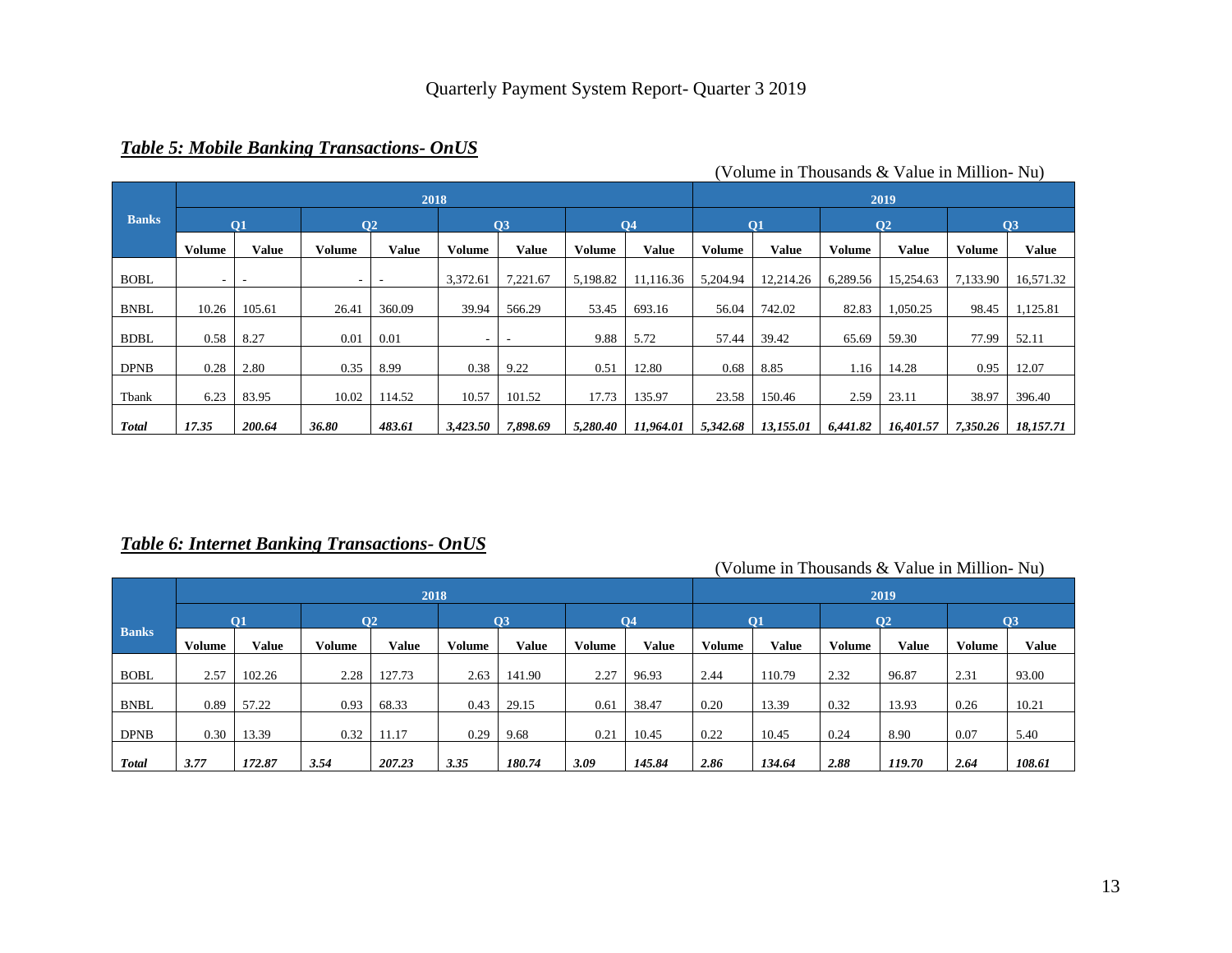### *Table 5: Mobile Banking Transactions- OnUS*

|              |               |                |               |                      |               |          |               |              |               |              |          | $\alpha$ oraing in Thousands $\alpha$ and $\alpha$ in Britinon Taur |               |              |
|--------------|---------------|----------------|---------------|----------------------|---------------|----------|---------------|--------------|---------------|--------------|----------|---------------------------------------------------------------------|---------------|--------------|
|              |               |                |               | 2018                 |               |          |               |              |               |              |          | 2019                                                                |               |              |
| <b>Banks</b> |               | O <sub>1</sub> |               | <b>O<sub>2</sub></b> |               | Q3       |               | <b>O4</b>    |               | <b>O1</b>    |          | <b>O<sub>2</sub></b>                                                |               | Q3           |
|              | <b>Volume</b> | <b>Value</b>   | <b>Volume</b> | <b>Value</b>         | <b>Volume</b> | Value    | <b>Volume</b> | <b>Value</b> | <b>Volume</b> | <b>Value</b> | Volume   | <b>Value</b>                                                        | <b>Volume</b> | <b>Value</b> |
| <b>BOBL</b>  |               |                | -             |                      | 3,372.61      | 7,221.67 | 5,198.82      | 11,116.36    | 5,204.94      | 12,214.26    | 6,289.56 | 15,254.63                                                           | 7,133.90      | 16,571.32    |
| <b>BNBL</b>  | 10.26         | 105.61         | 26.41         | 360.09               | 39.94         | 566.29   | 53.45         | 693.16       | 56.04         | 742.02       | 82.83    | 1,050.25                                                            | 98.45         | 1,125.81     |
| <b>BDBL</b>  | 0.58          | 8.27           | 0.01          | 0.01                 | -             |          | 9.88          | 5.72         | 57.44         | 39.42        | 65.69    | 59.30                                                               | 77.99         | 52.11        |
| <b>DPNB</b>  | 0.28          | 2.80           | 0.35          | 8.99                 | 0.38          | 9.22     | 0.51          | 12.80        | 0.68          | 8.85         | 1.16     | 14.28                                                               | 0.95          | 12.07        |
| Tbank        | 6.23          | 83.95          | 10.02         | 114.52               | 10.57         | 101.52   | 17.73         | 135.97       | 23.58         | 150.46       | 2.59     | 23.11                                                               | 38.97         | 396.40       |
| <b>Total</b> | 17.35         | 200.64         | 36.80         | 483.61               | 3,423.50      | 7,898.69 | 5,280.40      | 11,964.01    | 5,342.68      | 13,155.01    | 6,441.82 | 16,401.57                                                           | 7,350.26      | 18,157.71    |

(Volume in Thousands  $\&$  Value in Million- Nu)

### *Table 6: Internet Banking Transactions- OnUS*

|              |               |                          |               | 2018            |               |              |        |                |               |        |        | 2019   |               |              |
|--------------|---------------|--------------------------|---------------|-----------------|---------------|--------------|--------|----------------|---------------|--------|--------|--------|---------------|--------------|
|              |               | $\overline{\textbf{O}}1$ |               | $\overline{O2}$ |               | Q3           |        | Q <sub>4</sub> |               | Q1     |        | 02     |               | <b>O3</b>    |
| <b>Banks</b> | <b>Volume</b> | <b>Value</b>             | <b>Volume</b> | Value           | <b>Volume</b> | <b>Value</b> | Volume | <b>Value</b>   | <b>Volume</b> | Value  | Volume | Value  | <b>Volume</b> | <b>Value</b> |
| <b>BOBL</b>  | 2.57          | 102.26                   | 2.28          | 127.73          | 2.63          | 141.90       | 2.27   | 96.93          | 2.44          | 110.79 | 2.32   | 96.87  | 2.31          | 93.00        |
| <b>BNBL</b>  | 0.89          | 57.22                    | 0.93          | 68.33           | 0.43          | 29.15        | 0.61   | 38.47          | 0.20          | 13.39  | 0.32   | 13.93  | 0.26          | 10.21        |
| <b>DPNB</b>  | 0.30          | 13.39                    | 0.32          | 11.17           | 0.29          | 9.68         | 0.21   | 10.45          | 0.22          | 10.45  | 0.24   | 8.90   | 0.07          | 5.40         |
| <b>Total</b> | 3.77          | 172.87                   | 3.54          | 207.23          | 3.35          | 180.74       | 3.09   | 145.84         | 2.86          | 134.64 | 2.88   | 119.70 | 2.64          | 108.61       |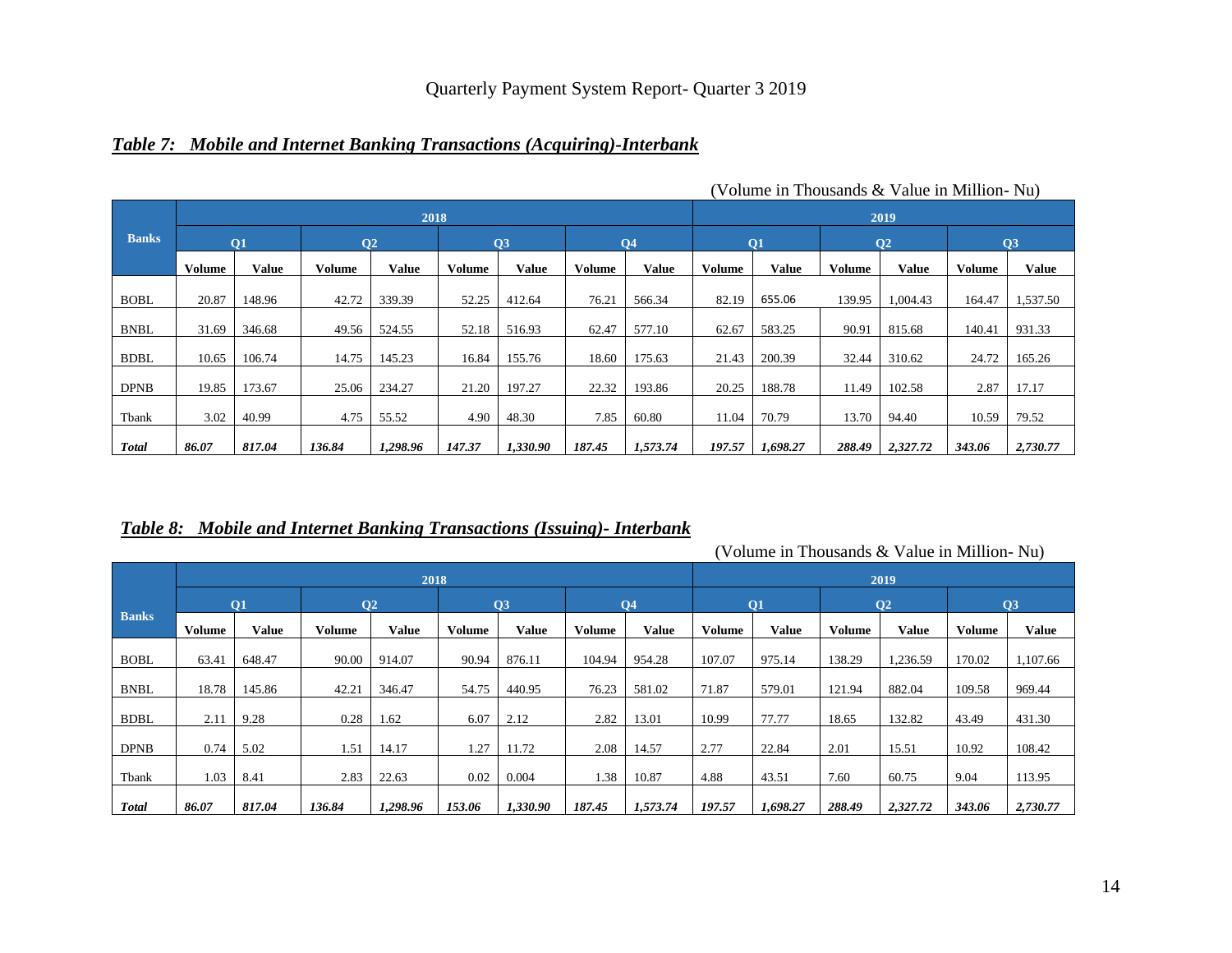### *Table 7: Mobile and Internet Banking Transactions (Acquiring)-Interbank*

|              |               |           |        |                |               |              |        |              |               |                 |               | $\overline{v}$ ordine in Thousands $\alpha$ $\overline{v}$ and $\overline{v}$ m Minimum- |        |              |
|--------------|---------------|-----------|--------|----------------|---------------|--------------|--------|--------------|---------------|-----------------|---------------|------------------------------------------------------------------------------------------|--------|--------------|
|              |               |           |        | 2018           |               |              |        |              |               |                 |               | 2019                                                                                     |        |              |
| <b>Banks</b> |               | <b>O1</b> |        | Q <sub>2</sub> |               | Q3           |        | <b>O4</b>    |               | $\overline{O1}$ |               | Q <sub>2</sub>                                                                           |        | Q3           |
|              | <b>Volume</b> | Value     | Volume | <b>Value</b>   | <b>Volume</b> | <b>Value</b> | Volume | <b>Value</b> | <b>Volume</b> | <b>Value</b>    | <b>Volume</b> | Value                                                                                    | Volume | <b>Value</b> |
| <b>BOBL</b>  | 20.87         | 148.96    | 42.72  | 339.39         | 52.25         | 412.64       | 76.21  | 566.34       | 82.19         | 655.06          | 139.95        | 1,004.43                                                                                 | 164.47 | 1,537.50     |
| <b>BNBL</b>  | 31.69         | 346.68    | 49.56  | 524.55         | 52.18         | 516.93       | 62.47  | 577.10       | 62.67         | 583.25          | 90.91         | 815.68                                                                                   | 140.41 | 931.33       |
| <b>BDBL</b>  | 10.65         | 106.74    | 14.75  | 145.23         | 16.84         | 155.76       | 18.60  | 175.63       | 21.43         | 200.39          | 32.44         | 310.62                                                                                   | 24.72  | 165.26       |
| <b>DPNB</b>  | 19.85         | 173.67    | 25.06  | 234.27         | 21.20         | 197.27       | 22.32  | 193.86       | 20.25         | 188.78          | 11.49         | 102.58                                                                                   | 2.87   | 17.17        |
| Tbank        | 3.02          | 40.99     | 4.75   | 55.52          | 4.90          | 48.30        | 7.85   | 60.80        | 11.04         | 70.79           | 13.70         | 94.40                                                                                    | 10.59  | 79.52        |
| <b>Total</b> | 86.07         | 817.04    | 136.84 | 1,298.96       | 147.37        | 1,330.90     | 187.45 | 1,573.74     | 197.57        | 1,698.27        | 288.49        | 2,327.72                                                                                 | 343.06 | 2,730.77     |

(Volume in Thousands & Value in Million- Nu)

### *Table 8: Mobile and Internet Banking Transactions (Issuing)- Interbank*

|              |               |              |                      | 2018         |               |          |               |              |               |           |               | 2019           |               |              |
|--------------|---------------|--------------|----------------------|--------------|---------------|----------|---------------|--------------|---------------|-----------|---------------|----------------|---------------|--------------|
|              |               | <b>O1</b>    | <b>O<sub>2</sub></b> |              |               | Q3       |               | <b>O4</b>    |               | $\bf{O}1$ |               | Q <sub>2</sub> |               | Q3           |
| <b>Banks</b> | <b>Volume</b> | <b>Value</b> | <b>Volume</b>        | <b>Value</b> | <b>Volume</b> | Value    | <b>Volume</b> | <b>Value</b> | <b>Volume</b> | Value     | <b>Volume</b> | <b>Value</b>   | <b>Volume</b> | <b>Value</b> |
| <b>BOBL</b>  | 63.41         | 648.47       | 90.00                | 914.07       | 90.94         | 876.11   | 104.94        | 954.28       | 107.07        | 975.14    | 138.29        | 1,236.59       | 170.02        | 1,107.66     |
| <b>BNBL</b>  | 18.78         | 145.86       | 42.21                | 346.47       | 54.75         | 440.95   | 76.23         | 581.02       | 71.87         | 579.01    | 121.94        | 882.04         | 109.58        | 969.44       |
| <b>BDBL</b>  | 2.11          | 9.28         | 0.28                 | 1.62         | 6.07          | 2.12     | 2.82          | 13.01        | 10.99         | 77.77     | 18.65         | 132.82         | 43.49         | 431.30       |
| <b>DPNB</b>  | 0.74          | 5.02         | 1.51                 | 14.17        | 1.27          | 11.72    | 2.08          | 14.57        | 2.77          | 22.84     | 2.01          | 15.51          | 10.92         | 108.42       |
| Tbank        | 1.03          | 8.41         | 2.83                 | 22.63        | 0.02          | 0.004    | 1.38          | 10.87        | 4.88          | 43.51     | 7.60          | 60.75          | 9.04          | 113.95       |
| <b>Total</b> | 86.07         | 817.04       | 136.84               | 1,298.96     | 153.06        | 1,330.90 | 187.45        | 1,573.74     | 197.57        | 1,698.27  | 288.49        | 2,327.72       | 343.06        | 2,730.77     |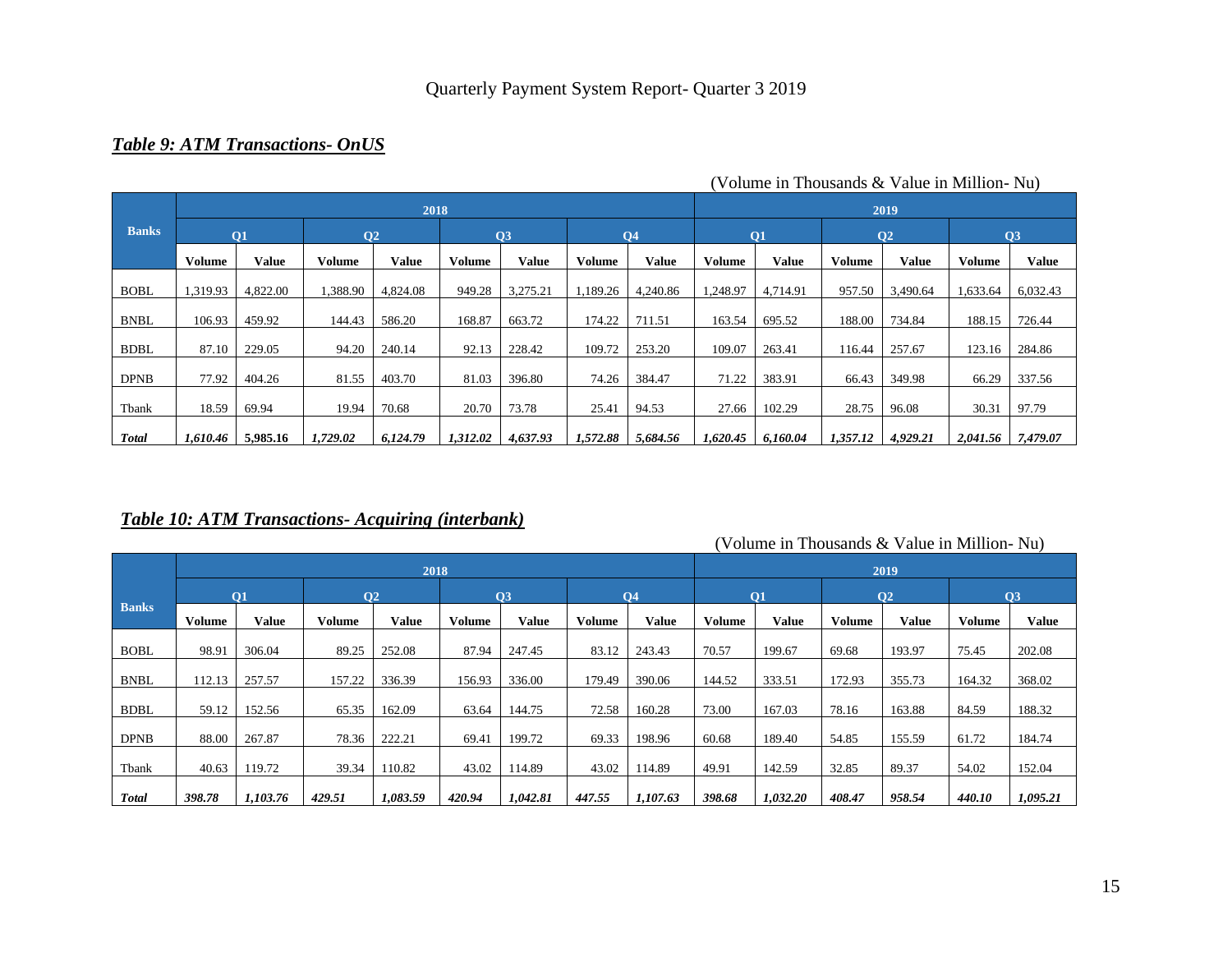## *Table 9: ATM Transactions- OnUS*

|              |               |          |               | 2018            |          |              |               |                |               |          |               | 2019           |               |               |
|--------------|---------------|----------|---------------|-----------------|----------|--------------|---------------|----------------|---------------|----------|---------------|----------------|---------------|---------------|
| <b>Banks</b> |               | Q1       |               | $\overline{O2}$ |          | Q3           |               | Q <sub>4</sub> |               | Q1       |               | Q <sub>2</sub> |               | <sub>Q3</sub> |
|              | <b>Volume</b> | Value    | <b>Volume</b> | <b>Value</b>    | Volume   | <b>Value</b> | <b>Volume</b> | <b>Value</b>   | <b>Volume</b> | Value    | <b>Volume</b> | Value          | <b>Volume</b> | <b>Value</b>  |
| <b>BOBL</b>  | 1,319.93      | 4,822.00 | 1,388.90      | 4,824.08        | 949.28   | 3,275.21     | 1,189.26      | 4,240.86       | 1,248.97      | 4,714.91 | 957.50        | 3,490.64       | 1,633.64      | 6,032.43      |
| <b>BNBL</b>  | 106.93        | 459.92   | 144.43        | 586.20          | 168.87   | 663.72       | 174.22        | 711.51         | 163.54        | 695.52   | 188.00        | 734.84         | 188.15        | 726.44        |
| <b>BDBL</b>  | 87.10         | 229.05   | 94.20         | 240.14          | 92.13    | 228.42       | 109.72        | 253.20         | 109.07        | 263.41   | 116.44        | 257.67         | 123.16        | 284.86        |
| <b>DPNB</b>  | 77.92         | 404.26   | 81.55         | 403.70          | 81.03    | 396.80       | 74.26         | 384.47         | 71.22         | 383.91   | 66.43         | 349.98         | 66.29         | 337.56        |
| Tbank        | 18.59         | 69.94    | 19.94         | 70.68           | 20.70    | 73.78        | 25.41         | 94.53          | 27.66         | 102.29   | 28.75         | 96.08          | 30.31         | 97.79         |
| <b>Total</b> | 1,610.46      | 5,985.16 | 1,729.02      | 6,124.79        | 1,312.02 | 4,637.93     | 1,572.88      | 5,684.56       | 1,620.45      | 6,160.04 | 1,357.12      | 4,929.21       | 2,041.56      | 7,479.07      |

(Volume in Thousands & Value in Million- Nu)

## *Table 10: ATM Transactions- Acquiring (interbank)*

|              |               |                |                      | 2018         |               |              | 2019   |                |               |              |               |                |               |              |
|--------------|---------------|----------------|----------------------|--------------|---------------|--------------|--------|----------------|---------------|--------------|---------------|----------------|---------------|--------------|
|              |               | O <sub>1</sub> | <b>O<sub>2</sub></b> |              |               | Q3           |        | Q <sub>4</sub> |               | Q1           |               | Q <sub>2</sub> | Q3            |              |
| <b>Banks</b> | <b>Volume</b> | Value          | <b>Volume</b>        | <b>Value</b> | <b>Volume</b> | <b>Value</b> | Volume | <b>Value</b>   | <b>Volume</b> | <b>Value</b> | <b>Volume</b> | <b>Value</b>   | <b>Volume</b> | <b>Value</b> |
| <b>BOBL</b>  | 98.91         | 306.04         | 89.25                | 252.08       | 87.94         | 247.45       | 83.12  | 243.43         | 70.57         | 199.67       | 69.68         | 193.97         | 75.45         | 202.08       |
| <b>BNBL</b>  | 112.13        | 257.57         | 157.22               | 336.39       | 156.93        | 336.00       | 179.49 | 390.06         | 144.52        | 333.51       | 172.93        | 355.73         | 164.32        | 368.02       |
| <b>BDBL</b>  | 59.12         | 152.56         | 65.35                | 162.09       | 63.64         | 144.75       | 72.58  | 160.28         | 73.00         | 167.03       | 78.16         | 163.88         | 84.59         | 188.32       |
| <b>DPNB</b>  | 88.00         | 267.87         | 78.36                | 222.21       | 69.41         | 199.72       | 69.33  | 198.96         | 60.68         | 189.40       | 54.85         | 155.59         | 61.72         | 184.74       |
| Tbank        | 40.63         | 119.72         | 39.34                | 110.82       | 43.02         | 114.89       | 43.02  | 114.89         | 49.91         | 142.59       | 32.85         | 89.37          | 54.02         | 152.04       |
|              |               |                |                      |              |               |              |        |                |               |              |               |                |               |              |
| <b>Total</b> | 398.78        | 1,103.76       | 429.51               | 1,083.59     | 420.94        | 1,042.81     | 447.55 | 1,107.63       | 398.68        | 1,032.20     | 408.47        | 958.54         | 440.10        | 1,095.21     |

(Volume in Thousands & Value in Million- Nu)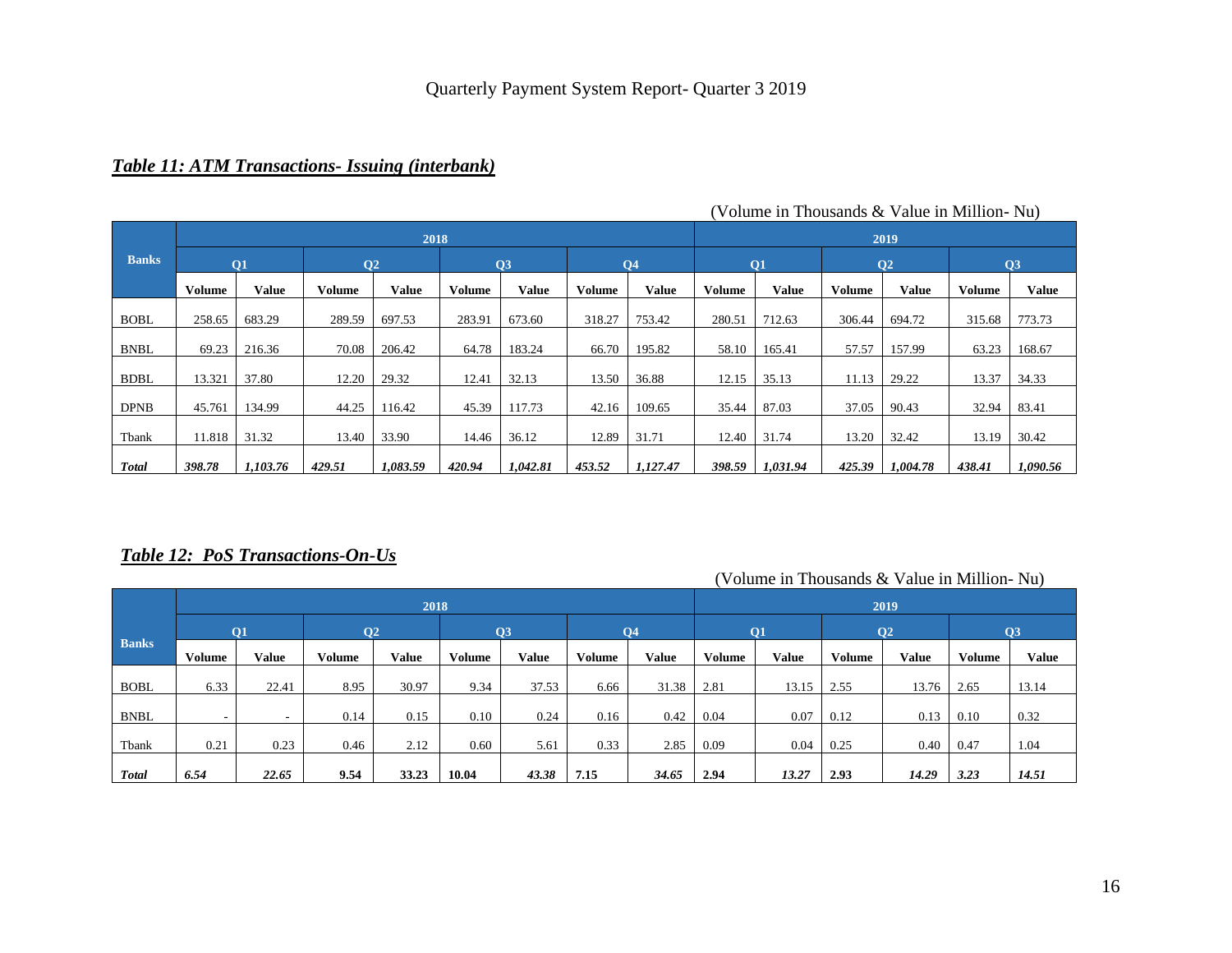### *Table 11: ATM Transactions- Issuing (interbank)*

|              |               |          |                | 2018         |               |              | 2019          |                |               |          |               |                |               |              |
|--------------|---------------|----------|----------------|--------------|---------------|--------------|---------------|----------------|---------------|----------|---------------|----------------|---------------|--------------|
| <b>Banks</b> | <b>O1</b>     |          | Q <sub>2</sub> |              | Q3            |              |               | Q <sub>4</sub> |               | Q1       |               | Q <sub>2</sub> | Q3            |              |
|              | <b>Volume</b> | Value    | Volume         | <b>Value</b> | <b>Volume</b> | <b>Value</b> | <b>Volume</b> | Value          | <b>Volume</b> | Value    | <b>Volume</b> | Value          | <b>Volume</b> | <b>Value</b> |
| <b>BOBL</b>  | 258.65        | 683.29   | 289.59         | 697.53       | 283.91        | 673.60       | 318.27        | 753.42         | 280.51        | 712.63   | 306.44        | 694.72         | 315.68        | 773.73       |
| <b>BNBL</b>  | 69.23         | 216.36   | 70.08          | 206.42       | 64.78         | 183.24       | 66.70         | 195.82         | 58.10         | 165.41   | 57.57         | 157.99         | 63.23         | 168.67       |
| <b>BDBL</b>  | 13.321        | 37.80    | 12.20          | 29.32        | 12.41         | 32.13        | 13.50         | 36.88          | 12.15         | 35.13    | 11.13         | 29.22          | 13.37         | 34.33        |
|              |               |          |                |              |               |              |               |                |               |          |               |                |               |              |
| <b>DPNB</b>  | 45.761        | 134.99   | 44.25          | 116.42       | 45.39         | 117.73       | 42.16         | 109.65         | 35.44         | 87.03    | 37.05         | 90.43          | 32.94         | 83.41        |
| Tbank        | 11.818        | 31.32    | 13.40          | 33.90        | 14.46         | 36.12        | 12.89         | 31.71          | 12.40         | 31.74    | 13.20         | 32.42          | 13.19         | 30.42        |
| <b>Total</b> | 398.78        | 1,103.76 | 429.51         | 1,083.59     | 420.94        | 1,042.81     | 453.52        | 1,127.47       | 398.59        | 1,031.94 | 425.39        | 1,004.78       | 438.41        | 1,090.56     |

#### (Volume in Thousands & Value in Million- Nu)

### *Table 12: PoS Transactions-On-Us*

|              |           |       |                 |              |        | $1.91$ and $1.1.1$ and $1.1.0$ and $1.00$ and $1.00$ |               |                |        |              |                 |              |               |              |
|--------------|-----------|-------|-----------------|--------------|--------|------------------------------------------------------|---------------|----------------|--------|--------------|-----------------|--------------|---------------|--------------|
|              |           |       |                 | 2018         |        |                                                      | 2019          |                |        |              |                 |              |               |              |
|              | <b>O1</b> |       | $\overline{O2}$ |              | Q3     |                                                      |               | Q <sub>4</sub> |        | Q1           | $\overline{O2}$ |              | Q3            |              |
| <b>Banks</b> | Volume    | Value | <b>Volume</b>   | <b>Value</b> | Volume | <b>Value</b>                                         | <b>Volume</b> | Value          | Volume | <b>Value</b> | <b>Volume</b>   | <b>Value</b> | <b>Volume</b> | <b>Value</b> |
| <b>BOBL</b>  | 6.33      | 22.41 | 8.95            | 30.97        | 9.34   | 37.53                                                | 6.66          | 31.38          | 2.81   | 13.15        | 2.55            | 13.76        | 2.65          | 13.14        |
| <b>BNBL</b>  | ۰         | -     | 0.14            | 0.15         | 0.10   | 0.24                                                 | 0.16          | 0.42           | 0.04   | 0.07         | 0.12            | 0.13         | 0.10          | 0.32         |
| Tbank        | 0.21      | 0.23  | 0.46            | 2.12         | 0.60   | 5.61                                                 | 0.33          | 2.85           | 0.09   | 0.04         | 0.25            | 0.40         | 0.47          | 1.04         |
| <b>Total</b> | 6.54      | 22.65 | 9.54            | 33.23        | 10.04  | 43.38                                                | 7.15          | 34.65          | 2.94   | 13.27        | 2.93            | 14.29        | 3.23          | 14.51        |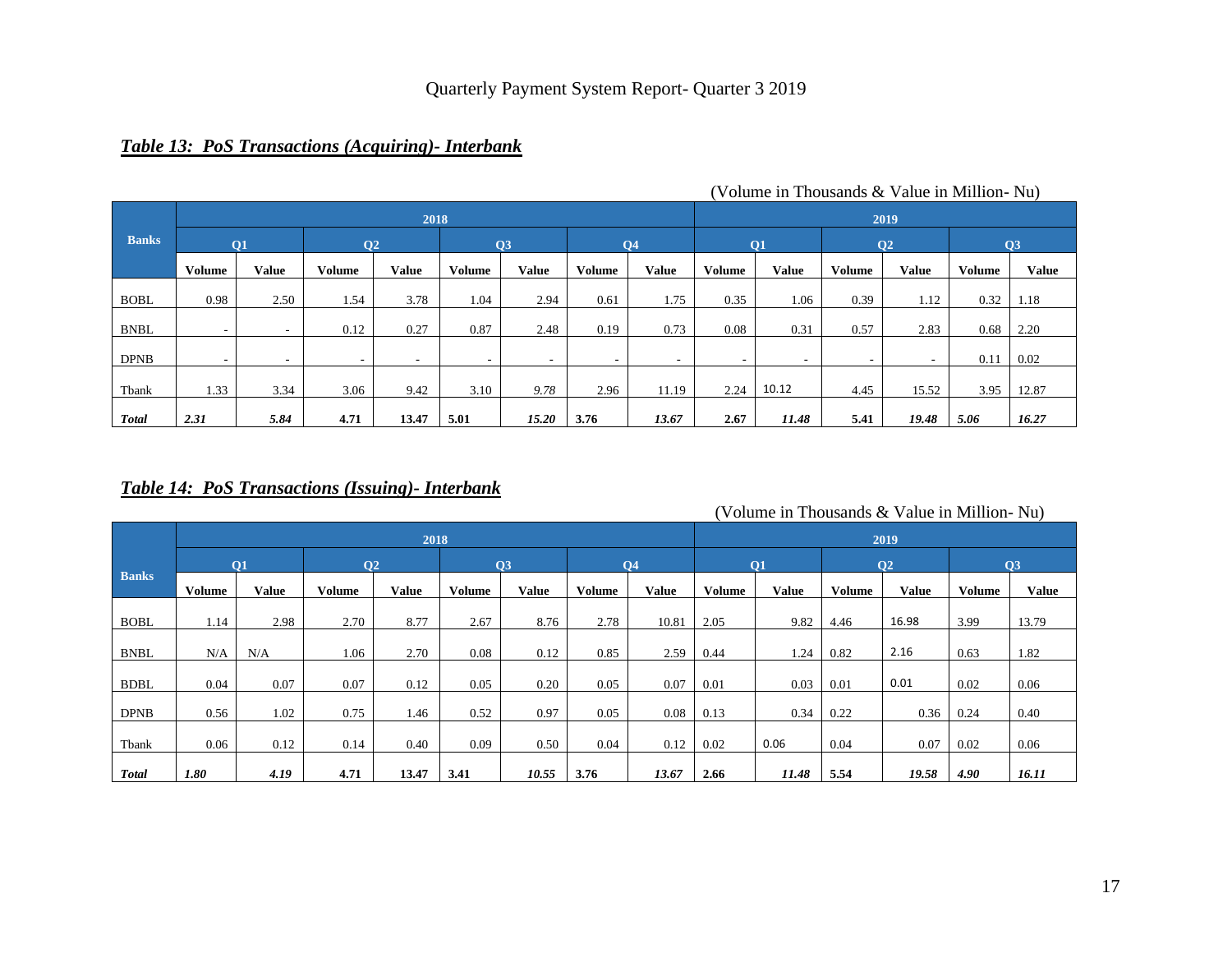### *Table 13: PoS Transactions (Acquiring)- Interbank*

|              |               |       |                          |              |               |                          | $\sim$ 0181110 in 11108060160 $\infty$ $\sim$ $\sim$ 0180 in 1411111011 $\sim$ |                          |               |                          |               |                          |               |              |  |
|--------------|---------------|-------|--------------------------|--------------|---------------|--------------------------|--------------------------------------------------------------------------------|--------------------------|---------------|--------------------------|---------------|--------------------------|---------------|--------------|--|
|              |               |       |                          | 2018         |               |                          |                                                                                |                          | 2019          |                          |               |                          |               |              |  |
| <b>Banks</b> | <b>O1</b>     |       | Q <sub>2</sub>           |              | Q3            |                          |                                                                                | $\overline{O4}$          |               | Q1                       |               | Q <sub>2</sub>           | Q3            |              |  |
|              | <b>Volume</b> | Value | <b>Volume</b>            | <b>Value</b> | <b>Volume</b> | <b>Value</b>             | <b>Volume</b>                                                                  | <b>Value</b>             | <b>Volume</b> | <b>Value</b>             | <b>Volume</b> | Value                    | <b>Volume</b> | <b>Value</b> |  |
| <b>BOBL</b>  | 0.98          | 2.50  | 1.54                     | 3.78         | 1.04          | 2.94                     | 0.61                                                                           | 1.75                     | 0.35          | 1.06                     | 0.39          | 1.12                     | 0.32          | 1.18         |  |
|              |               |       |                          |              |               |                          |                                                                                |                          |               |                          |               |                          |               |              |  |
| <b>BNBL</b>  | -             | -     | 0.12                     | 0.27         | 0.87          | 2.48                     | 0.19                                                                           | 0.73                     | 0.08          | 0.31                     | 0.57          | 2.83                     | 0.68          | 2.20         |  |
| <b>DPNB</b>  | ۰             |       | $\overline{\phantom{a}}$ |              | ۰             | $\overline{\phantom{a}}$ | $\overline{\phantom{a}}$                                                       | $\overline{\phantom{a}}$ |               | $\overline{\phantom{a}}$ |               | $\overline{\phantom{a}}$ | 0.11          | 0.02         |  |
| Tbank        | 1.33          | 3.34  | 3.06                     | 9.42         | 3.10          | 9.78                     | 2.96                                                                           | 11.19                    | 2.24          | 10.12                    | 4.45          | 15.52                    | 3.95          | 12.87        |  |
| <b>Total</b> | 2.31          | 5.84  | 4.71                     | 13.47        | 5.01          | 15.20                    | 3.76                                                                           | 13.67                    | 2.67          | 11.48                    | 5.41          | 19.48                    | 5.06          | 16.27        |  |

(Volume in Thousands & Value in Million- Nu)

### *Table 14: PoS Transactions (Issuing)- Interbank*

|              |               |              |                |              | volume in Thousands & value in Minimul-Tyu) |              |        |              |        |              |               |                |               |              |
|--------------|---------------|--------------|----------------|--------------|---------------------------------------------|--------------|--------|--------------|--------|--------------|---------------|----------------|---------------|--------------|
|              |               |              |                | 2018         |                                             |              | 2019   |              |        |              |               |                |               |              |
|              | <b>O1</b>     |              | Q <sub>2</sub> |              | Q3                                          |              |        | <b>O4</b>    |        | Q1           |               | Q <sub>2</sub> | Q3            |              |
| <b>Banks</b> | <b>Volume</b> | <b>Value</b> | Volume         | <b>Value</b> | Volume                                      | <b>Value</b> | Volume | <b>Value</b> | Volume | <b>Value</b> | <b>Volume</b> | <b>Value</b>   | <b>Volume</b> | <b>Value</b> |
| <b>BOBL</b>  | 1.14          | 2.98         | 2.70           | 8.77         | 2.67                                        | 8.76         | 2.78   | 10.81        | 2.05   | 9.82         | 4.46          | 16.98          | 3.99          | 13.79        |
| <b>BNBL</b>  | N/A           | N/A          | 1.06           | 2.70         | 0.08                                        | 0.12         | 0.85   | 2.59         | 0.44   | 1.24         | 0.82          | 2.16           | 0.63          | 1.82         |
| <b>BDBL</b>  | 0.04          | 0.07         | 0.07           | 0.12         | 0.05                                        | 0.20         | 0.05   | 0.07         | 0.01   | 0.03         | 0.01          | 0.01           | 0.02          | 0.06         |
| <b>DPNB</b>  | 0.56          | 1.02         | 0.75           | 1.46         | 0.52                                        | 0.97         | 0.05   | 0.08         | 0.13   | 0.34         | 0.22          | 0.36           | 0.24          | 0.40         |
| Tbank        | 0.06          | 0.12         | 0.14           | 0.40         | 0.09                                        | 0.50         | 0.04   | 0.12         | 0.02   | 0.06         | 0.04          | 0.07           | 0.02          | 0.06         |
| <b>Total</b> | 1.80          | 4.19         | 4.71           | 13.47        | 3.41                                        | 10.55        | 3.76   | 13.67        | 2.66   | 11.48        | 5.54          | 19.58          | 4.90          | 16.11        |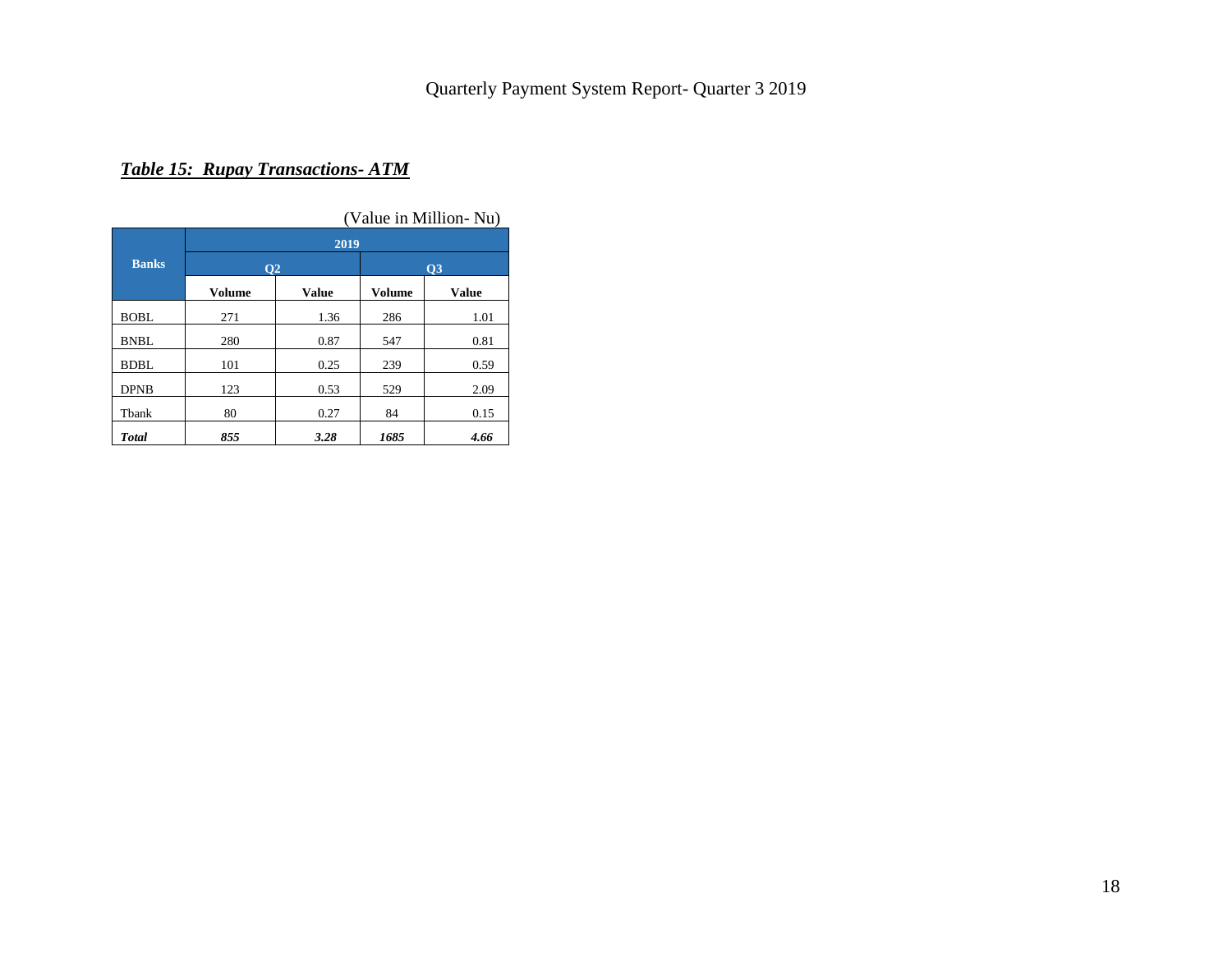# *Table 15: Rupay Transactions- ATM*

|              |                      |              |           | (Value in Million-Nu) |  |  |  |  |  |  |  |  |
|--------------|----------------------|--------------|-----------|-----------------------|--|--|--|--|--|--|--|--|
|              | 2019                 |              |           |                       |  |  |  |  |  |  |  |  |
| <b>Banks</b> | <b>O<sub>2</sub></b> |              | <b>O3</b> |                       |  |  |  |  |  |  |  |  |
|              | Volume               | <b>Value</b> | Volume    | <b>Value</b>          |  |  |  |  |  |  |  |  |
| <b>BOBL</b>  | 271                  | 1.36         | 286       | 1.01                  |  |  |  |  |  |  |  |  |
| <b>BNBL</b>  | 280                  | 0.87         | 547       | 0.81                  |  |  |  |  |  |  |  |  |
| <b>BDBL</b>  | 101                  | 0.25         | 239       | 0.59                  |  |  |  |  |  |  |  |  |
| <b>DPNB</b>  | 123                  | 0.53         | 529       | 2.09                  |  |  |  |  |  |  |  |  |
| Tbank        | 80                   | 0.27         | 84        | 0.15                  |  |  |  |  |  |  |  |  |
| <b>Total</b> | 855                  | 3.28         | 1685      | 4.66                  |  |  |  |  |  |  |  |  |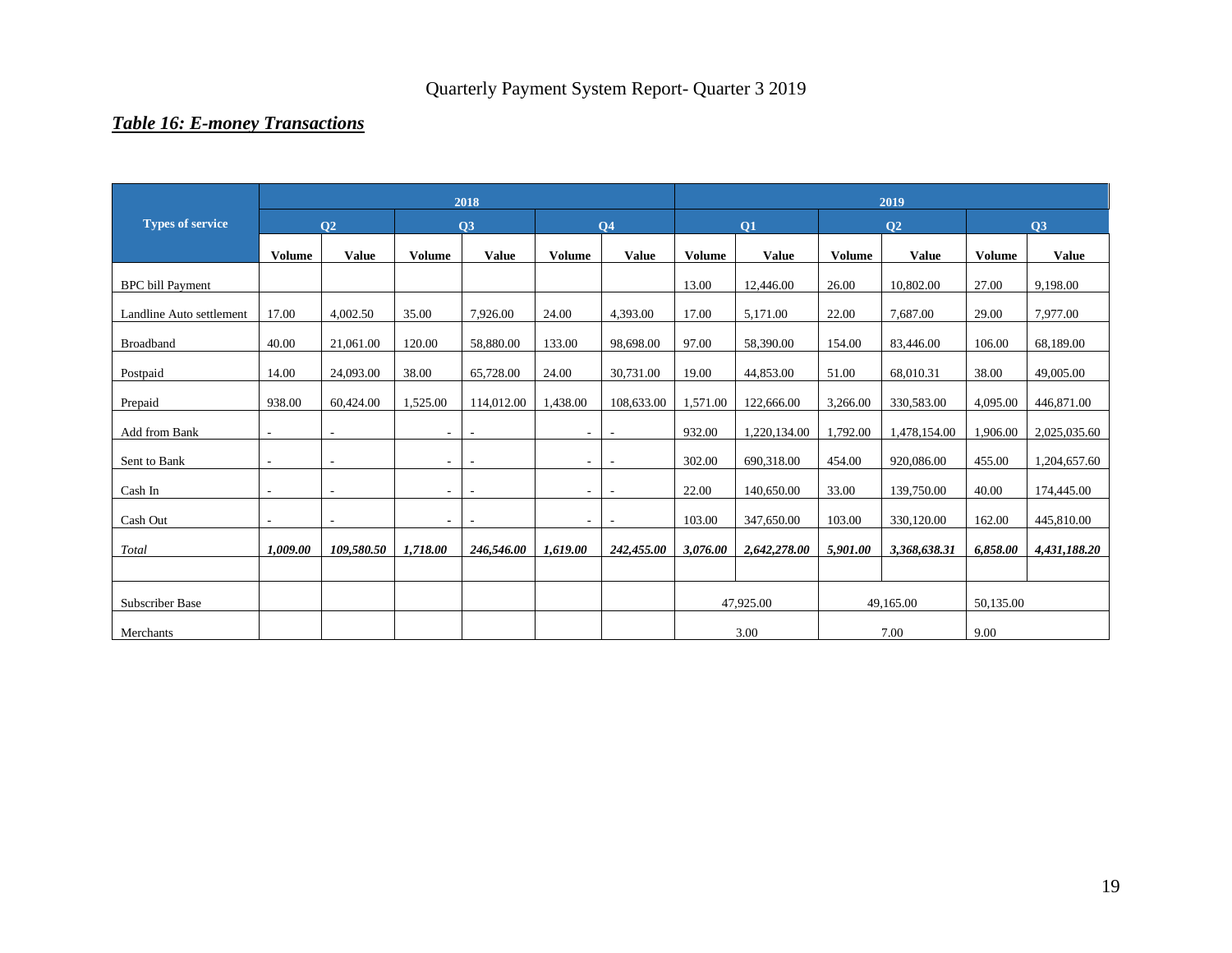# *Table 16: E-money Transactions*

|                          |               |                          |                | 2018                     |               |                          | 2019          |              |               |                |               |              |  |  |
|--------------------------|---------------|--------------------------|----------------|--------------------------|---------------|--------------------------|---------------|--------------|---------------|----------------|---------------|--------------|--|--|
| <b>Types of service</b>  |               | <b>O2</b>                |                | Q3                       |               | <b>O4</b>                |               | Q1           |               | Q <sub>2</sub> |               | Q3           |  |  |
|                          | <b>Volume</b> | <b>Value</b>             | <b>Volume</b>  | <b>Value</b>             | <b>Volume</b> | <b>Value</b>             | <b>Volume</b> | <b>Value</b> | <b>Volume</b> | <b>Value</b>   | <b>Volume</b> | <b>Value</b> |  |  |
| <b>BPC</b> bill Payment  |               |                          |                |                          |               |                          | 13.00         | 12,446.00    | 26.00         | 10,802.00      | 27.00         | 9,198.00     |  |  |
| Landline Auto settlement | 17.00         | 4,002.50                 | 35.00          | 7,926.00                 | 24.00         | 4,393.00                 | 17.00         | 5,171.00     | 22.00         | 7,687.00       | 29.00         | 7,977.00     |  |  |
| Broadband                | 40.00         | 21,061.00                | 120.00         | 58,880.00                | 133.00        | 98,698.00                | 97.00         | 58,390.00    | 154.00        | 83,446.00      | 106.00        | 68,189.00    |  |  |
| Postpaid                 | 14.00         | 24,093.00                | 38.00          | 65,728.00                | 24.00         | 30,731.00                | 19.00         | 44,853.00    | 51.00         | 68,010.31      | 38.00         | 49,005.00    |  |  |
| Prepaid                  | 938.00        | 60,424.00                | 1,525.00       | 114,012.00               | 1,438.00      | 108,633.00               | 1,571.00      | 122,666.00   | 3,266.00      | 330,583.00     | 4,095.00      | 446,871.00   |  |  |
| Add from Bank            |               | $\overline{\phantom{a}}$ | $\sim$         |                          | ٠             |                          | 932.00        | 1,220,134.00 | 1,792.00      | 1,478,154.00   | 1,906.00      | 2,025,035.60 |  |  |
| Sent to Bank             |               | $\overline{\phantom{a}}$ | $\sim$         |                          |               |                          | 302.00        | 690,318.00   | 454.00        | 920,086.00     | 455.00        | 1,204,657.60 |  |  |
| Cash In                  | $\sim$        | $\overline{\phantom{a}}$ | $\sim$         | $\overline{\phantom{a}}$ |               | $\overline{\phantom{a}}$ | 22.00         | 140,650.00   | 33.00         | 139,750.00     | 40.00         | 174,445.00   |  |  |
| Cash Out                 | $\sim$        | $\overline{\phantom{a}}$ | $\blacksquare$ | $\overline{\phantom{a}}$ | ٠             | ٠                        | 103.00        | 347,650.00   | 103.00        | 330,120.00     | 162.00        | 445,810.00   |  |  |
| Total                    | 1.009.00      | 109,580.50               | 1,718.00       | 246,546.00               | 1,619.00      | 242,455.00               | 3,076.00      | 2,642,278.00 | 5,901.00      | 3,368,638.31   | 6,858.00      | 4,431,188.20 |  |  |
|                          |               |                          |                |                          |               |                          |               |              |               |                |               |              |  |  |
| Subscriber Base          |               |                          |                |                          |               |                          | 47,925.00     |              | 49,165.00     |                | 50,135.00     |              |  |  |
| Merchants                |               |                          |                |                          |               |                          |               | 3.00         |               | 7.00           |               |              |  |  |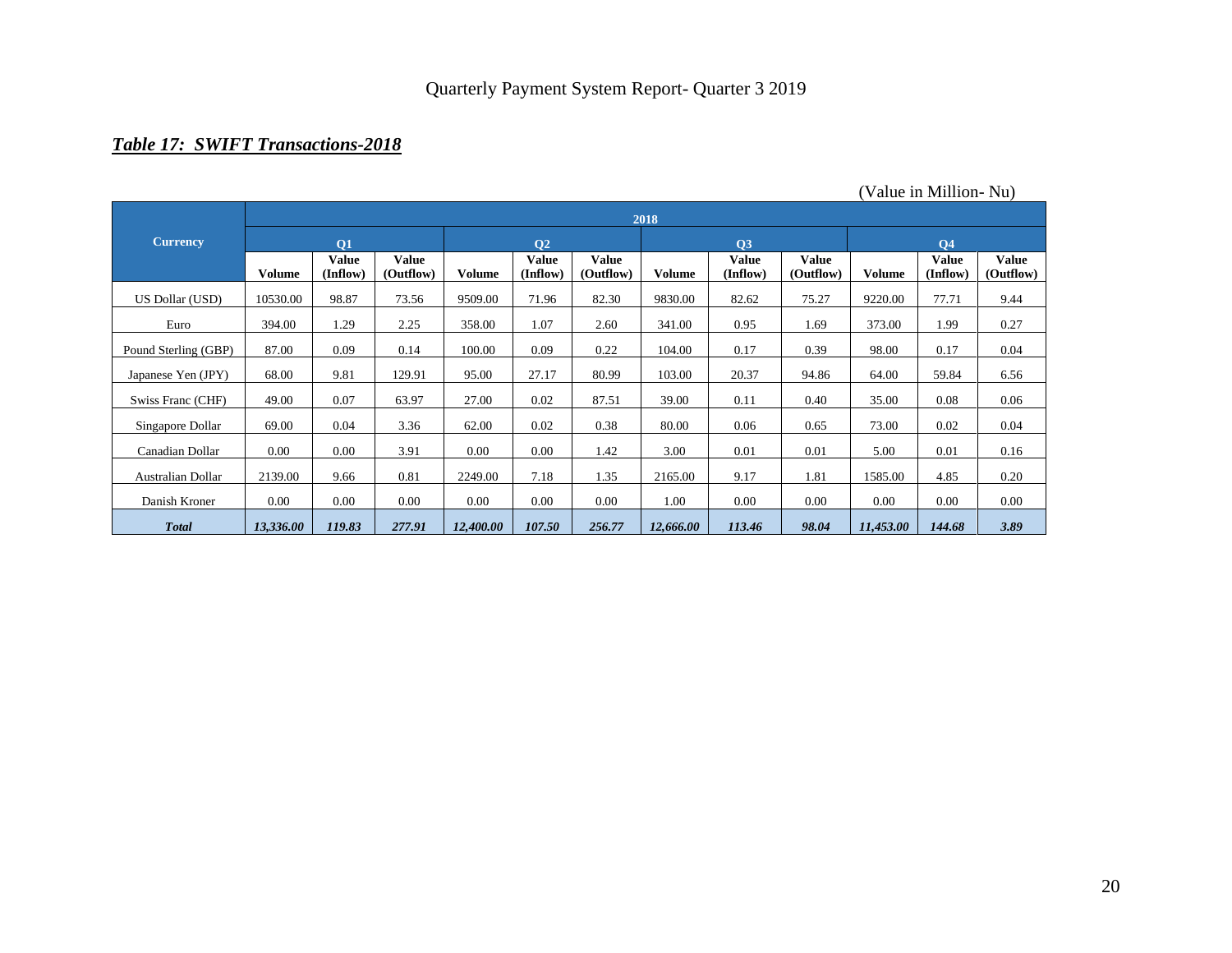# *Table 17: SWIFT Transactions-2018*

|                      |           | 2018              |                    |           |                          |                    |           |                          |                           |           |                          |                           |  |  |  |
|----------------------|-----------|-------------------|--------------------|-----------|--------------------------|--------------------|-----------|--------------------------|---------------------------|-----------|--------------------------|---------------------------|--|--|--|
| <b>Currency</b>      |           | <b>O1</b>         |                    |           | Q <sub>2</sub>           |                    |           | Q3                       |                           |           | <b>Q4</b>                |                           |  |  |  |
|                      | Volume    | Value<br>(Inflow) | Value<br>(Outflow) | Volume    | <b>Value</b><br>(Inflow) | Value<br>(Outflow) | Volume    | <b>Value</b><br>(Inflow) | <b>Value</b><br>(Outflow) | Volume    | <b>Value</b><br>(Inflow) | <b>Value</b><br>(Outflow) |  |  |  |
| US Dollar (USD)      | 10530.00  | 98.87             | 73.56              | 9509.00   | 71.96                    | 82.30              | 9830.00   | 82.62                    | 75.27                     | 9220.00   | 77.71                    | 9.44                      |  |  |  |
| Euro                 | 394.00    | 1.29              | 2.25               | 358.00    | 1.07                     | 2.60               | 341.00    | 0.95                     | 1.69                      | 373.00    | 1.99                     | 0.27                      |  |  |  |
| Pound Sterling (GBP) | 87.00     | 0.09              | 0.14               | 100.00    | 0.09                     | 0.22               | 104.00    | 0.17                     | 0.39                      | 98.00     | 0.17                     | 0.04                      |  |  |  |
| Japanese Yen (JPY)   | 68.00     | 9.81              | 129.91             | 95.00     | 27.17                    | 80.99              | 103.00    | 20.37                    | 94.86                     | 64.00     | 59.84                    | 6.56                      |  |  |  |
| Swiss Franc (CHF)    | 49.00     | 0.07              | 63.97              | 27.00     | 0.02                     | 87.51              | 39.00     | 0.11                     | 0.40                      | 35.00     | 0.08                     | 0.06                      |  |  |  |
| Singapore Dollar     | 69.00     | 0.04              | 3.36               | 62.00     | 0.02                     | 0.38               | 80.00     | 0.06                     | 0.65                      | 73.00     | 0.02                     | 0.04                      |  |  |  |
| Canadian Dollar      | 0.00      | 0.00              | 3.91               | 0.00      | 0.00                     | 1.42               | 3.00      | 0.01                     | 0.01                      | 5.00      | 0.01                     | 0.16                      |  |  |  |
| Australian Dollar    | 2139.00   | 9.66              | 0.81               | 2249.00   | 7.18                     | 1.35               | 2165.00   | 9.17                     | 1.81                      | 1585.00   | 4.85                     | 0.20                      |  |  |  |
| Danish Kroner        | $0.00\,$  | 0.00              | 0.00               | 0.00      | 0.00                     | 0.00               | 1.00      | 0.00                     | 0.00                      | 0.00      | 0.00                     | 0.00                      |  |  |  |
| <b>Total</b>         | 13,336.00 | 119.83            | 277.91             | 12,400.00 | 107.50                   | 256.77             | 12,666.00 | 113.46                   | 98.04                     | 11,453.00 | 144.68                   | 3.89                      |  |  |  |

(Value in Million- Nu)